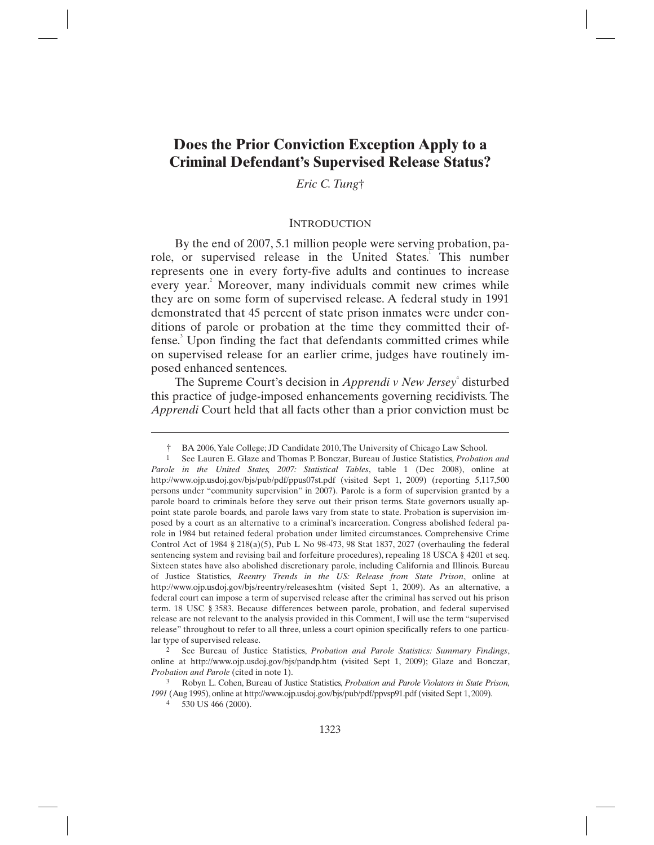# **Does the Prior Conviction Exception Apply to a Criminal Defendant's Supervised Release Status?**

*Eric C. Tung*†

# **INTRODUCTION**

By the end of 2007, 5.1 million people were serving probation, parole, or supervised release in the United States.<sup>1</sup> This number represents one in every forty-five adults and continues to increase every year.<sup>2</sup> Moreover, many individuals commit new crimes while they are on some form of supervised release. A federal study in 1991 demonstrated that 45 percent of state prison inmates were under conditions of parole or probation at the time they committed their offense.<sup>3</sup> Upon finding the fact that defendants committed crimes while on supervised release for an earlier crime, judges have routinely imposed enhanced sentences.

The Supreme Court's decision in *Apprendi v New Jersey*<sup>4</sup> disturbed this practice of judge-imposed enhancements governing recidivists. The *Apprendi* Court held that all facts other than a prior conviction must be

<sup>†</sup> BA 2006, Yale College; JD Candidate 2010, The University of Chicago Law School.

<sup>1</sup> See Lauren E. Glaze and Thomas P. Bonczar, Bureau of Justice Statistics, *Probation and Parole in the United States, 2007: Statistical Tables*, table 1 (Dec 2008), online at http://www.ojp.usdoj.gov/bjs/pub/pdf/ppus07st.pdf (visited Sept 1, 2009) (reporting 5,117,500 persons under "community supervision" in 2007). Parole is a form of supervision granted by a parole board to criminals before they serve out their prison terms. State governors usually appoint state parole boards, and parole laws vary from state to state. Probation is supervision imposed by a court as an alternative to a criminal's incarceration. Congress abolished federal parole in 1984 but retained federal probation under limited circumstances. Comprehensive Crime Control Act of 1984 § 218(a)(5), Pub L No 98-473, 98 Stat 1837, 2027 (overhauling the federal sentencing system and revising bail and forfeiture procedures), repealing 18 USCA § 4201 et seq. Sixteen states have also abolished discretionary parole, including California and Illinois. Bureau of Justice Statistics, *Reentry Trends in the US: Release from State Prison*, online at http://www.ojp.usdoj.gov/bjs/reentry/releases.htm (visited Sept 1, 2009). As an alternative, a federal court can impose a term of supervised release after the criminal has served out his prison term. 18 USC § 3583. Because differences between parole, probation, and federal supervised release are not relevant to the analysis provided in this Comment, I will use the term "supervised release" throughout to refer to all three, unless a court opinion specifically refers to one particular type of supervised release.

<sup>2</sup> See Bureau of Justice Statistics, *Probation and Parole Statistics: Summary Findings*, online at http://www.ojp.usdoj.gov/bjs/pandp.htm (visited Sept 1, 2009); Glaze and Bonczar, *Probation and Parole* (cited in note 1).

<sup>3</sup> Robyn L. Cohen, Bureau of Justice Statistics, *Probation and Parole Violators in State Prison, 1991* (Aug 1995), online at http://www.ojp.usdoj.gov/bjs/pub/pdf/ppvsp91.pdf (visited Sept 1, 2009).

<sup>4 530</sup> US 466 (2000).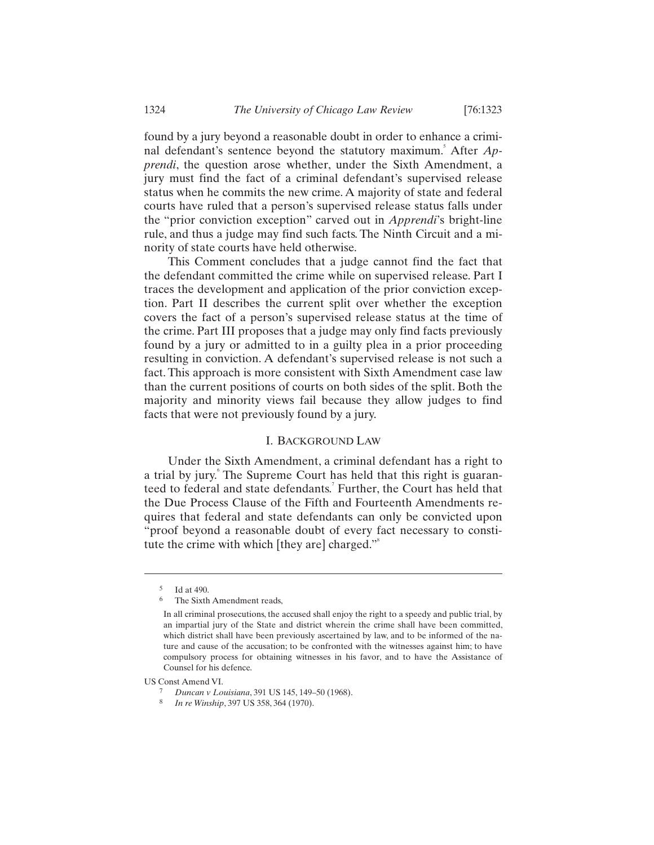found by a jury beyond a reasonable doubt in order to enhance a criminal defendant's sentence beyond the statutory maximum. After *Apprendi*, the question arose whether, under the Sixth Amendment, a jury must find the fact of a criminal defendant's supervised release status when he commits the new crime. A majority of state and federal courts have ruled that a person's supervised release status falls under the "prior conviction exception" carved out in *Apprendi*'s bright-line rule, and thus a judge may find such facts. The Ninth Circuit and a minority of state courts have held otherwise.

This Comment concludes that a judge cannot find the fact that the defendant committed the crime while on supervised release. Part I traces the development and application of the prior conviction exception. Part II describes the current split over whether the exception covers the fact of a person's supervised release status at the time of the crime. Part III proposes that a judge may only find facts previously found by a jury or admitted to in a guilty plea in a prior proceeding resulting in conviction. A defendant's supervised release is not such a fact. This approach is more consistent with Sixth Amendment case law than the current positions of courts on both sides of the split. Both the majority and minority views fail because they allow judges to find facts that were not previously found by a jury.

# I. BACKGROUND LAW

Under the Sixth Amendment, a criminal defendant has a right to a trial by jury. The Supreme Court has held that this right is guaranteed to federal and state defendants.<sup>7</sup> Further, the Court has held that the Due Process Clause of the Fifth and Fourteenth Amendments requires that federal and state defendants can only be convicted upon "proof beyond a reasonable doubt of every fact necessary to constitute the crime with which  $[$ they are $]$  charged." $\degree$ 

<sup>5</sup> Id at 490.

<sup>6</sup> The Sixth Amendment reads,

In all criminal prosecutions, the accused shall enjoy the right to a speedy and public trial, by an impartial jury of the State and district wherein the crime shall have been committed, which district shall have been previously ascertained by law, and to be informed of the nature and cause of the accusation; to be confronted with the witnesses against him; to have compulsory process for obtaining witnesses in his favor, and to have the Assistance of Counsel for his defence.

US Const Amend VI.

<sup>7</sup> *Duncan v Louisiana*, 391 US 145, 149–50 (1968).

<sup>8</sup> *In re Winship*, 397 US 358, 364 (1970).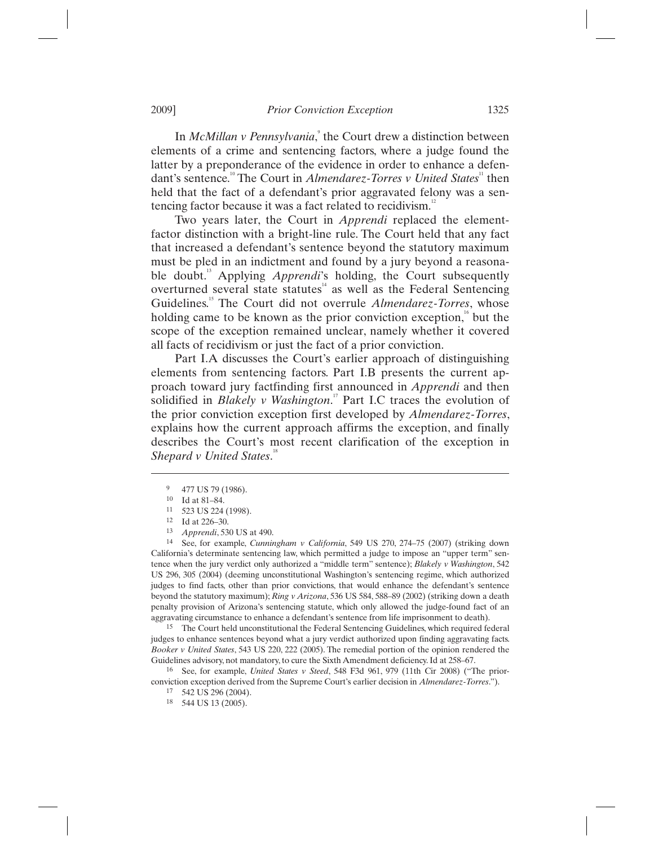In *McMillan v Pennsylvania*,<sup>9</sup> the Court drew a distinction between elements of a crime and sentencing factors, where a judge found the latter by a preponderance of the evidence in order to enhance a defendant's sentence.<sup>"</sup> The Court in *Almendarez-Torres v United States*<sup>"</sup> then held that the fact of a defendant's prior aggravated felony was a sentencing factor because it was a fact related to recidivism.<sup>12</sup>

Two years later, the Court in *Apprendi* replaced the elementfactor distinction with a bright-line rule. The Court held that any fact that increased a defendant's sentence beyond the statutory maximum must be pled in an indictment and found by a jury beyond a reasonable doubt.<sup>13</sup> Applying *Apprendi*'s holding, the Court subsequently overturned several state statutes $14$  as well as the Federal Sentencing Guidelines.<sup>15</sup> The Court did not overrule *Almendarez-Torres*, whose holding came to be known as the prior conviction exception, $\frac{1}{n}$  but the scope of the exception remained unclear, namely whether it covered all facts of recidivism or just the fact of a prior conviction.

Part I.A discusses the Court's earlier approach of distinguishing elements from sentencing factors. Part I.B presents the current approach toward jury factfinding first announced in *Apprendi* and then solidified in *Blakely v Washington*. 17 Part I.C traces the evolution of the prior conviction exception first developed by *Almendarez-Torres*, explains how the current approach affirms the exception, and finally describes the Court's most recent clarification of the exception in Shepard v United States.<sup>18</sup>

 $\overline{a}$ 

<sup>14</sup> See, for example, *Cunningham v California*, 549 US 270, 274–75 (2007) (striking down California's determinate sentencing law, which permitted a judge to impose an "upper term" sentence when the jury verdict only authorized a "middle term" sentence); *Blakely v Washington*, 542 US 296, 305 (2004) (deeming unconstitutional Washington's sentencing regime, which authorized judges to find facts, other than prior convictions, that would enhance the defendant's sentence beyond the statutory maximum); *Ring v Arizona*, 536 US 584, 588–89 (2002) (striking down a death penalty provision of Arizona's sentencing statute, which only allowed the judge-found fact of an aggravating circumstance to enhance a defendant's sentence from life imprisonment to death).

15 The Court held unconstitutional the Federal Sentencing Guidelines, which required federal judges to enhance sentences beyond what a jury verdict authorized upon finding aggravating facts. *Booker v United States*, 543 US 220, 222 (2005). The remedial portion of the opinion rendered the Guidelines advisory, not mandatory, to cure the Sixth Amendment deficiency. Id at 258–67.

16 See, for example, *United States v Steed*, 548 F3d 961, 979 (11th Cir 2008) ("The priorconviction exception derived from the Supreme Court's earlier decision in *Almendarez-Torres*.").

#### 17 542 US 296 (2004).

18 544 US 13 (2005).

<sup>9 477</sup> US 79 (1986).

<sup>10</sup> Id at 81–84.

<sup>11 523</sup> US 224 (1998).

<sup>&</sup>lt;sup>12</sup> Id at 226–30.<br><sup>13</sup> *Apprendi*, 530 US at 490.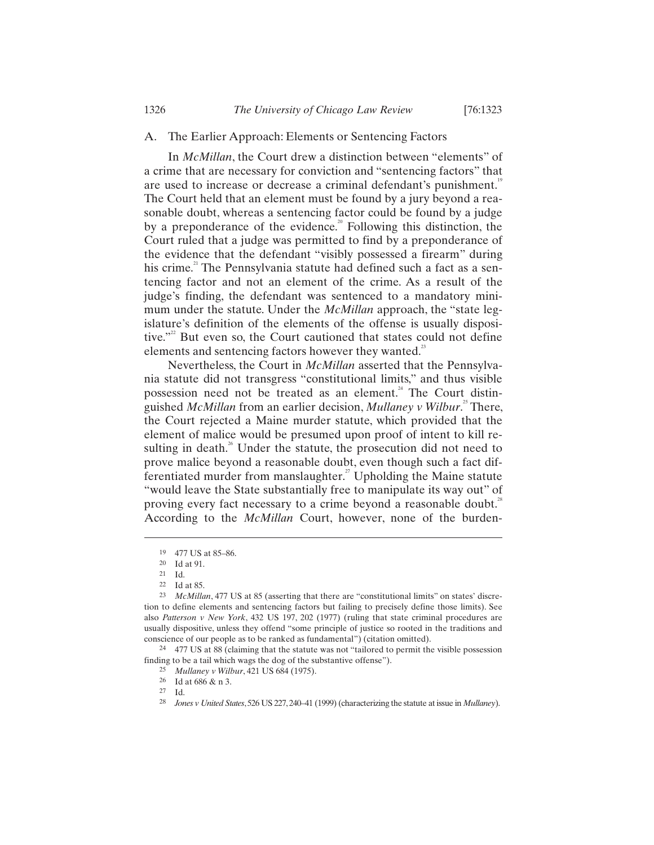## A. The Earlier Approach: Elements or Sentencing Factors

In *McMillan*, the Court drew a distinction between "elements" of a crime that are necessary for conviction and "sentencing factors" that are used to increase or decrease a criminal defendant's punishment.<sup>19</sup> The Court held that an element must be found by a jury beyond a reasonable doubt, whereas a sentencing factor could be found by a judge by a preponderance of the evidence.<sup>20</sup> Following this distinction, the Court ruled that a judge was permitted to find by a preponderance of the evidence that the defendant "visibly possessed a firearm" during his crime.<sup>21</sup> The Pennsylvania statute had defined such a fact as a sentencing factor and not an element of the crime. As a result of the judge's finding, the defendant was sentenced to a mandatory minimum under the statute. Under the *McMillan* approach, the "state legislature's definition of the elements of the offense is usually dispositive."<sup>22</sup> But even so, the Court cautioned that states could not define elements and sentencing factors however they wanted.<sup>23</sup>

Nevertheless, the Court in *McMillan* asserted that the Pennsylvania statute did not transgress "constitutional limits," and thus visible possession need not be treated as an element.<sup>24</sup> The Court distinguished *McMillan* from an earlier decision, *Mullaney v Wilbur*. 25 There, the Court rejected a Maine murder statute, which provided that the element of malice would be presumed upon proof of intent to kill resulting in death. $^{26}$  Under the statute, the prosecution did not need to prove malice beyond a reasonable doubt, even though such a fact differentiated murder from manslaughter.<sup>27</sup> Upholding the Maine statute "would leave the State substantially free to manipulate its way out" of proving every fact necessary to a crime beyond a reasonable doubt.<sup>28</sup> According to the *McMillan* Court, however, none of the burden-

 $\overline{a}$ 

24 477 US at 88 (claiming that the statute was not "tailored to permit the visible possession finding to be a tail which wags the dog of the substantive offense").

<sup>19 477</sup> US at 85–86.

<sup>20</sup> Id at 91.

<sup>21</sup> Id.

<sup>22</sup> Id at 85.

<sup>23</sup> *McMillan*, 477 US at 85 (asserting that there are "constitutional limits" on states' discretion to define elements and sentencing factors but failing to precisely define those limits). See also *Patterson v New York*, 432 US 197, 202 (1977) (ruling that state criminal procedures are usually dispositive, unless they offend "some principle of justice so rooted in the traditions and conscience of our people as to be ranked as fundamental") (citation omitted).

<sup>25</sup> *Mullaney v Wilbur*, 421 US 684 (1975).

<sup>26</sup> Id at 686 & n 3.

<sup>27</sup> Id.

<sup>28</sup> *Jones v United States*, 526 US 227, 240–41 (1999) (characterizing the statute at issue in *Mullaney*).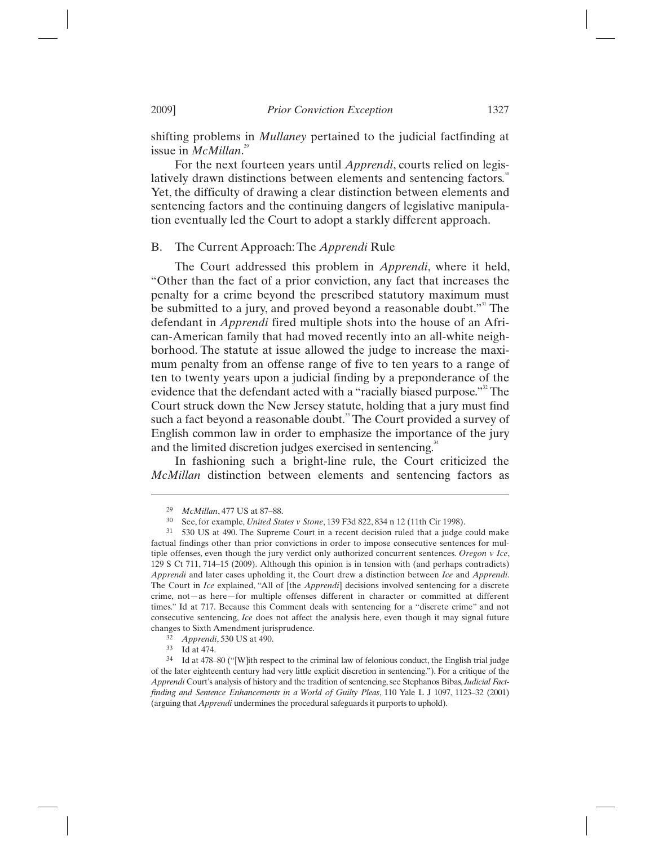shifting problems in *Mullaney* pertained to the judicial factfinding at issue in *McMillan*. 29

For the next fourteen years until *Apprendi*, courts relied on legislatively drawn distinctions between elements and sentencing factors.<sup>3</sup> Yet, the difficulty of drawing a clear distinction between elements and sentencing factors and the continuing dangers of legislative manipulation eventually led the Court to adopt a starkly different approach.

## B. The Current Approach: The *Apprendi* Rule

The Court addressed this problem in *Apprendi*, where it held, "Other than the fact of a prior conviction, any fact that increases the penalty for a crime beyond the prescribed statutory maximum must be submitted to a jury, and proved beyond a reasonable doubt."<sup>31</sup> The defendant in *Apprendi* fired multiple shots into the house of an African-American family that had moved recently into an all-white neighborhood. The statute at issue allowed the judge to increase the maximum penalty from an offense range of five to ten years to a range of ten to twenty years upon a judicial finding by a preponderance of the evidence that the defendant acted with a "racially biased purpose."<sup>32</sup> The Court struck down the New Jersey statute, holding that a jury must find such a fact beyond a reasonable doubt.<sup>33</sup> The Court provided a survey of English common law in order to emphasize the importance of the jury and the limited discretion judges exercised in sentencing.<sup>34</sup>

In fashioning such a bright-line rule, the Court criticized the *McMillan* distinction between elements and sentencing factors as

<sup>29</sup> *McMillan*, 477 US at 87–88.

<sup>30</sup> See, for example, *United States v Stone*, 139 F3d 822, 834 n 12 (11th Cir 1998).

<sup>31 530</sup> US at 490. The Supreme Court in a recent decision ruled that a judge could make factual findings other than prior convictions in order to impose consecutive sentences for multiple offenses, even though the jury verdict only authorized concurrent sentences. *Oregon v Ice*, 129 S Ct 711, 714–15 (2009). Although this opinion is in tension with (and perhaps contradicts) *Apprendi* and later cases upholding it, the Court drew a distinction between *Ice* and *Apprendi*. The Court in *Ice* explained, "All of [the *Apprendi*] decisions involved sentencing for a discrete crime, not—as here—for multiple offenses different in character or committed at different times." Id at 717. Because this Comment deals with sentencing for a "discrete crime" and not consecutive sentencing, *Ice* does not affect the analysis here, even though it may signal future changes to Sixth Amendment jurisprudence.

<sup>32</sup> *Apprendi*, 530 US at 490.

<sup>33</sup> Id at 474.

<sup>34</sup> Id at 478–80 ("[W]ith respect to the criminal law of felonious conduct, the English trial judge of the later eighteenth century had very little explicit discretion in sentencing."). For a critique of the *Apprendi* Court's analysis of history and the tradition of sentencing, see Stephanos Bibas, *Judicial Factfinding and Sentence Enhancements in a World of Guilty Pleas*, 110 Yale L J 1097, 1123–32 (2001) (arguing that *Apprendi* undermines the procedural safeguards it purports to uphold).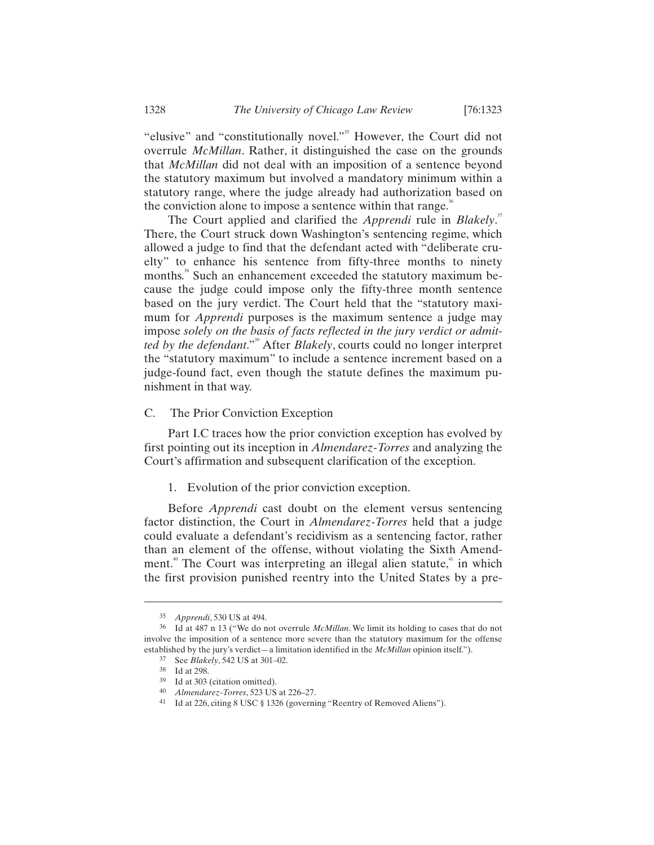"elusive" and "constitutionally novel."35 However, the Court did not overrule *McMillan*. Rather, it distinguished the case on the grounds that *McMillan* did not deal with an imposition of a sentence beyond the statutory maximum but involved a mandatory minimum within a statutory range, where the judge already had authorization based on the conviction alone to impose a sentence within that range.<sup>36</sup>

The Court applied and clarified the *Apprendi* rule in *Blakely*. 37 There, the Court struck down Washington's sentencing regime, which allowed a judge to find that the defendant acted with "deliberate cruelty" to enhance his sentence from fifty-three months to ninety months.<sup>38</sup> Such an enhancement exceeded the statutory maximum because the judge could impose only the fifty-three month sentence based on the jury verdict. The Court held that the "statutory maximum for *Apprendi* purposes is the maximum sentence a judge may impose *solely on the basis of facts reflected in the jury verdict or admitted by the defendant.*"<sup>39</sup> After *Blakely*, courts could no longer interpret the "statutory maximum" to include a sentence increment based on a judge-found fact, even though the statute defines the maximum punishment in that way.

## C. The Prior Conviction Exception

Part I.C traces how the prior conviction exception has evolved by first pointing out its inception in *Almendarez-Torres* and analyzing the Court's affirmation and subsequent clarification of the exception.

1. Evolution of the prior conviction exception.

Before *Apprendi* cast doubt on the element versus sentencing factor distinction, the Court in *Almendarez-Torres* held that a judge could evaluate a defendant's recidivism as a sentencing factor, rather than an element of the offense, without violating the Sixth Amendment.<sup>40</sup> The Court was interpreting an illegal alien statute, $4\pi$  in which the first provision punished reentry into the United States by a pre-

<sup>35</sup> *Apprendi*, 530 US at 494.

<sup>36</sup> Id at 487 n 13 ("We do not overrule *McMillan*. We limit its holding to cases that do not involve the imposition of a sentence more severe than the statutory maximum for the offense established by the jury's verdict—a limitation identified in the *McMillan* opinion itself.").

<sup>37</sup> See *Blakely*, 542 US at 301–02.

<sup>38</sup> Id at 298.

<sup>39</sup> Id at 303 (citation omitted).

<sup>40</sup> *Almendarez-Torres*, 523 US at 226–27.

<sup>41</sup> Id at 226, citing 8 USC § 1326 (governing "Reentry of Removed Aliens").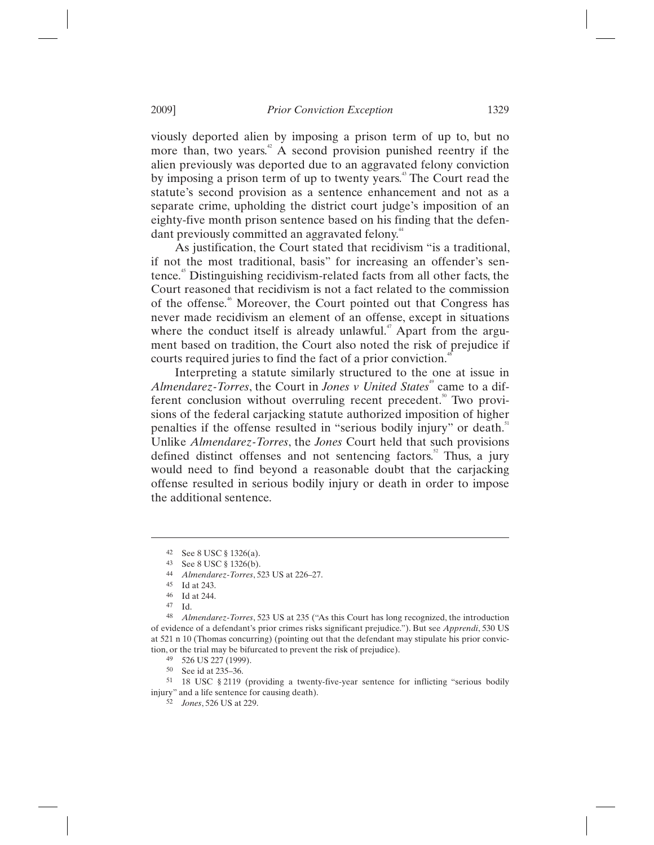viously deported alien by imposing a prison term of up to, but no more than, two years. $42$  A second provision punished reentry if the alien previously was deported due to an aggravated felony conviction by imposing a prison term of up to twenty years.<sup>43</sup> The Court read the statute's second provision as a sentence enhancement and not as a separate crime, upholding the district court judge's imposition of an eighty-five month prison sentence based on his finding that the defendant previously committed an aggravated felony.<sup>44</sup>

As justification, the Court stated that recidivism "is a traditional, if not the most traditional, basis" for increasing an offender's sentence.<sup>45</sup> Distinguishing recidivism-related facts from all other facts, the Court reasoned that recidivism is not a fact related to the commission of the offense.<sup>46</sup> Moreover, the Court pointed out that Congress has never made recidivism an element of an offense, except in situations where the conduct itself is already unlawful.<sup>47</sup> Apart from the argument based on tradition, the Court also noted the risk of prejudice if courts required juries to find the fact of a prior conviction.<sup>4</sup>

Interpreting a statute similarly structured to the one at issue in *Almendarez-Torres*, the Court in *Jones v United States*<sup>49</sup> came to a different conclusion without overruling recent precedent.<sup>50</sup> Two provisions of the federal carjacking statute authorized imposition of higher penalties if the offense resulted in "serious bodily injury" or death.<sup>31</sup> Unlike *Almendarez-Torres*, the *Jones* Court held that such provisions defined distinct offenses and not sentencing factors.<sup>52</sup> Thus, a jury would need to find beyond a reasonable doubt that the carjacking offense resulted in serious bodily injury or death in order to impose the additional sentence.

<sup>42</sup> See 8 USC § 1326(a).

<sup>43</sup> See 8 USC § 1326(b).

<sup>44</sup> *Almendarez-Torres*, 523 US at 226–27.

<sup>45</sup> Id at 243.

<sup>46</sup> Id at 244.

<sup>47</sup> Id.

<sup>48</sup> *Almendarez-Torres*, 523 US at 235 ("As this Court has long recognized, the introduction of evidence of a defendant's prior crimes risks significant prejudice."). But see *Apprendi*, 530 US at 521 n 10 (Thomas concurring) (pointing out that the defendant may stipulate his prior conviction, or the trial may be bifurcated to prevent the risk of prejudice).

<sup>49 526</sup> US 227 (1999).

<sup>50</sup> See id at 235–36.

<sup>51 18</sup> USC § 2119 (providing a twenty-five-year sentence for inflicting "serious bodily injury" and a life sentence for causing death).

<sup>52</sup> *Jones*, 526 US at 229.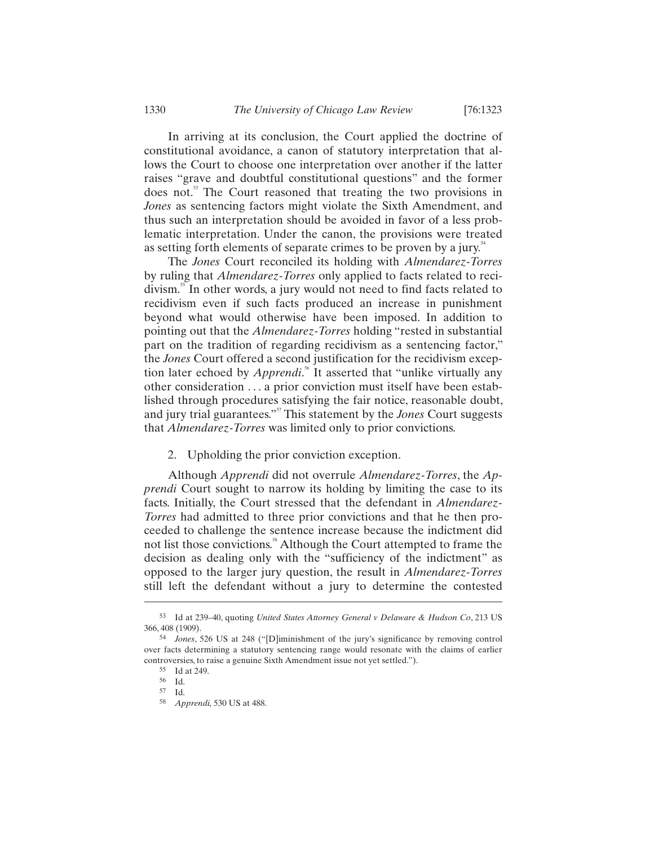In arriving at its conclusion, the Court applied the doctrine of constitutional avoidance, a canon of statutory interpretation that allows the Court to choose one interpretation over another if the latter raises "grave and doubtful constitutional questions" and the former does not.<sup>33</sup> The Court reasoned that treating the two provisions in *Jones* as sentencing factors might violate the Sixth Amendment, and thus such an interpretation should be avoided in favor of a less problematic interpretation. Under the canon, the provisions were treated as setting forth elements of separate crimes to be proven by a jury.<sup>54</sup>

The *Jones* Court reconciled its holding with *Almendarez-Torres* by ruling that *Almendarez-Torres* only applied to facts related to recidivism.<sup>55</sup> In other words, a jury would not need to find facts related to recidivism even if such facts produced an increase in punishment beyond what would otherwise have been imposed. In addition to pointing out that the *Almendarez-Torres* holding "rested in substantial part on the tradition of regarding recidivism as a sentencing factor," the *Jones* Court offered a second justification for the recidivism exception later echoed by *Apprendi*. 56 It asserted that "unlike virtually any other consideration . . . a prior conviction must itself have been established through procedures satisfying the fair notice, reasonable doubt, and jury trial guarantees."<sup>57</sup> This statement by the *Jones* Court suggests that *Almendarez-Torres* was limited only to prior convictions.

2. Upholding the prior conviction exception.

Although *Apprendi* did not overrule *Almendarez-Torres*, the *Apprendi* Court sought to narrow its holding by limiting the case to its facts. Initially, the Court stressed that the defendant in *Almendarez-Torres* had admitted to three prior convictions and that he then proceeded to challenge the sentence increase because the indictment did not list those convictions.<sup>88</sup> Although the Court attempted to frame the decision as dealing only with the "sufficiency of the indictment" as opposed to the larger jury question, the result in *Almendarez-Torres* still left the defendant without a jury to determine the contested

<sup>53</sup> Id at 239–40, quoting *United States Attorney General v Delaware & Hudson Co*, 213 US 366, 408 (1909).

<sup>54</sup> *Jones*, 526 US at 248 ("[D]iminishment of the jury's significance by removing control over facts determining a statutory sentencing range would resonate with the claims of earlier controversies, to raise a genuine Sixth Amendment issue not yet settled.").

<sup>55</sup> Id at 249.

<sup>56</sup> Id.

<sup>57</sup> Id.

<sup>58</sup> *Apprendi,* 530 US at 488.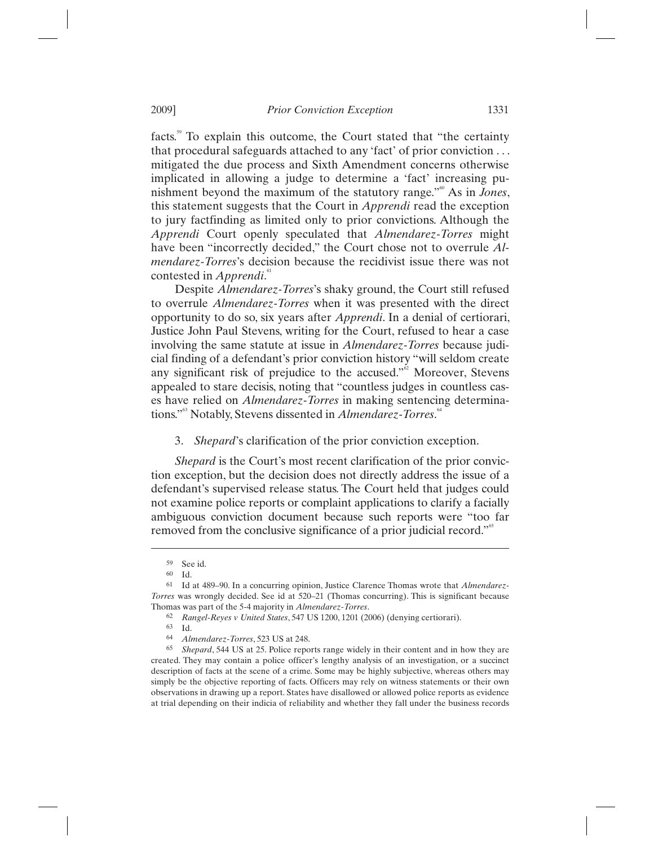facts.59 To explain this outcome, the Court stated that "the certainty that procedural safeguards attached to any 'fact' of prior conviction . . . mitigated the due process and Sixth Amendment concerns otherwise implicated in allowing a judge to determine a 'fact' increasing punishment beyond the maximum of the statutory range."<sup>60</sup> As in *Jones*, this statement suggests that the Court in *Apprendi* read the exception to jury factfinding as limited only to prior convictions. Although the *Apprendi* Court openly speculated that *Almendarez-Torres* might have been "incorrectly decided," the Court chose not to overrule *Almendarez-Torres*'s decision because the recidivist issue there was not contested in *Apprendi*.<sup>61</sup>

Despite *Almendarez-Torres*'s shaky ground, the Court still refused to overrule *Almendarez-Torres* when it was presented with the direct opportunity to do so, six years after *Apprendi*. In a denial of certiorari, Justice John Paul Stevens, writing for the Court, refused to hear a case involving the same statute at issue in *Almendarez-Torres* because judicial finding of a defendant's prior conviction history "will seldom create any significant risk of prejudice to the accused."<sup>62</sup> Moreover, Stevens appealed to stare decisis, noting that "countless judges in countless cases have relied on *Almendarez-Torres* in making sentencing determinations."<sup>63</sup> Notably, Stevens dissented in *Almendarez-Torres*.<sup>64</sup>

3. *Shepard*'s clarification of the prior conviction exception.

*Shepard* is the Court's most recent clarification of the prior conviction exception, but the decision does not directly address the issue of a defendant's supervised release status. The Court held that judges could not examine police reports or complaint applications to clarify a facially ambiguous conviction document because such reports were "too far removed from the conclusive significance of a prior judicial record."<sup>65</sup>

 $59$  See id.<br> $60$  Id.

Id.

<sup>61</sup> Id at 489–90. In a concurring opinion, Justice Clarence Thomas wrote that *Almendarez-Torres* was wrongly decided. See id at 520–21 (Thomas concurring). This is significant because Thomas was part of the 5-4 majority in *Almendarez-Torres*.

<sup>62</sup> *Rangel-Reyes v United States*, 547 US 1200, 1201 (2006) (denying certiorari).

<sup>63</sup> Id.

<sup>64</sup> *Almendarez-Torres*, 523 US at 248.

<sup>65</sup> *Shepard*, 544 US at 25. Police reports range widely in their content and in how they are created. They may contain a police officer's lengthy analysis of an investigation, or a succinct description of facts at the scene of a crime. Some may be highly subjective, whereas others may simply be the objective reporting of facts. Officers may rely on witness statements or their own observations in drawing up a report. States have disallowed or allowed police reports as evidence at trial depending on their indicia of reliability and whether they fall under the business records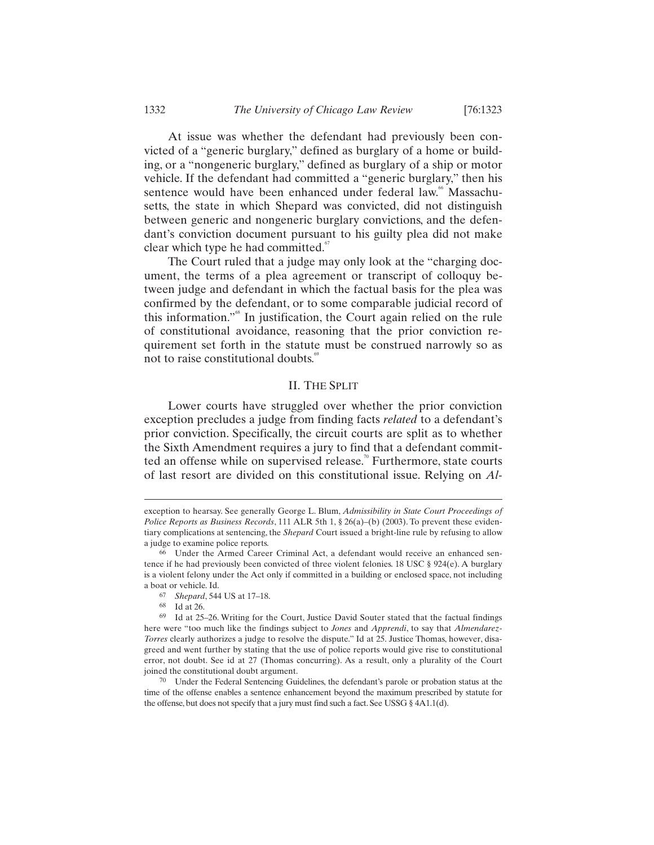At issue was whether the defendant had previously been convicted of a "generic burglary," defined as burglary of a home or building, or a "nongeneric burglary," defined as burglary of a ship or motor vehicle. If the defendant had committed a "generic burglary," then his sentence would have been enhanced under federal law.<sup>®</sup> Massachusetts, the state in which Shepard was convicted, did not distinguish between generic and nongeneric burglary convictions, and the defen-

The Court ruled that a judge may only look at the "charging document, the terms of a plea agreement or transcript of colloquy between judge and defendant in which the factual basis for the plea was confirmed by the defendant, or to some comparable judicial record of this information."68 In justification, the Court again relied on the rule of constitutional avoidance, reasoning that the prior conviction requirement set forth in the statute must be construed narrowly so as not to raise constitutional doubts.<sup>69</sup>

dant's conviction document pursuant to his guilty plea did not make

clear which type he had committed.<sup>*o*</sup>

## II. THE SPLIT

Lower courts have struggled over whether the prior conviction exception precludes a judge from finding facts *related* to a defendant's prior conviction. Specifically, the circuit courts are split as to whether the Sixth Amendment requires a jury to find that a defendant committed an offense while on supervised release.<sup> $n$ </sup> Furthermore, state courts of last resort are divided on this constitutional issue. Relying on *Al-*

exception to hearsay. See generally George L. Blum, *Admissibility in State Court Proceedings of Police Reports as Business Records*, 111 ALR 5th 1, § 26(a)–(b) (2003). To prevent these evidentiary complications at sentencing, the *Shepard* Court issued a bright-line rule by refusing to allow a judge to examine police reports.

<sup>66</sup> Under the Armed Career Criminal Act, a defendant would receive an enhanced sentence if he had previously been convicted of three violent felonies. 18 USC § 924(e). A burglary is a violent felony under the Act only if committed in a building or enclosed space, not including a boat or vehicle. Id.

<sup>67</sup> *Shepard*, 544 US at 17–18.

<sup>68</sup> Id at 26.

<sup>69</sup> Id at 25–26. Writing for the Court, Justice David Souter stated that the factual findings here were "too much like the findings subject to *Jones* and *Apprendi*, to say that *Almendarez-Torres* clearly authorizes a judge to resolve the dispute." Id at 25. Justice Thomas, however, disagreed and went further by stating that the use of police reports would give rise to constitutional error, not doubt. See id at 27 (Thomas concurring). As a result, only a plurality of the Court joined the constitutional doubt argument.

<sup>70</sup> Under the Federal Sentencing Guidelines, the defendant's parole or probation status at the time of the offense enables a sentence enhancement beyond the maximum prescribed by statute for the offense, but does not specify that a jury must find such a fact. See USSG § 4A1.1(d).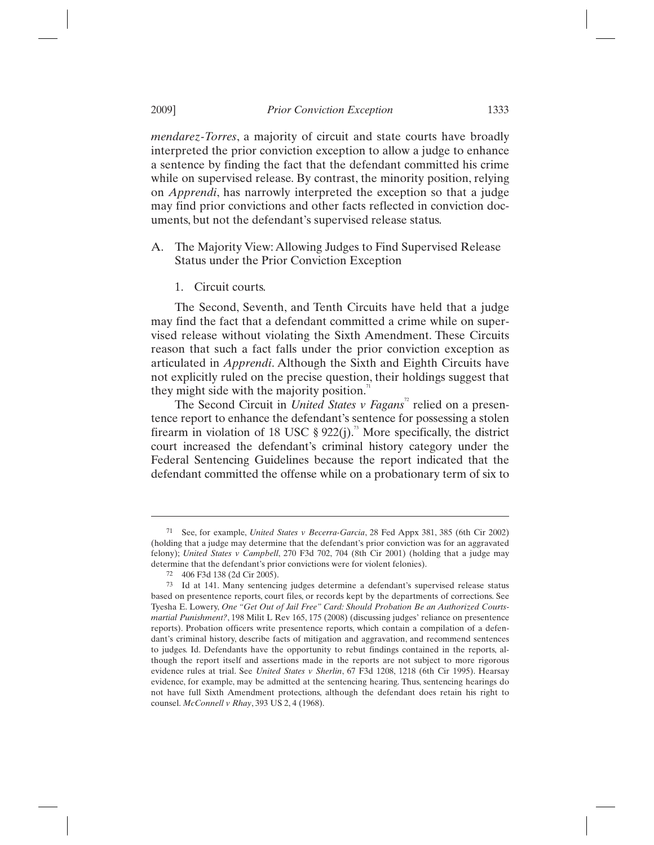*mendarez-Torres*, a majority of circuit and state courts have broadly interpreted the prior conviction exception to allow a judge to enhance a sentence by finding the fact that the defendant committed his crime while on supervised release. By contrast, the minority position, relying on *Apprendi*, has narrowly interpreted the exception so that a judge may find prior convictions and other facts reflected in conviction documents, but not the defendant's supervised release status.

- A. The Majority View: Allowing Judges to Find Supervised Release Status under the Prior Conviction Exception
	- 1. Circuit courts.

The Second, Seventh, and Tenth Circuits have held that a judge may find the fact that a defendant committed a crime while on supervised release without violating the Sixth Amendment. These Circuits reason that such a fact falls under the prior conviction exception as articulated in *Apprendi*. Although the Sixth and Eighth Circuits have not explicitly ruled on the precise question, their holdings suggest that they might side with the majority position.<sup>4</sup>

The Second Circuit in *United States v Fagans*<sup>2</sup> relied on a presentence report to enhance the defendant's sentence for possessing a stolen firearm in violation of 18 USC  $\S 922(i)$ .<sup>3</sup> More specifically, the district court increased the defendant's criminal history category under the Federal Sentencing Guidelines because the report indicated that the defendant committed the offense while on a probationary term of six to

<sup>71</sup> See, for example, *United States v Becerra-Garcia*, 28 Fed Appx 381, 385 (6th Cir 2002) (holding that a judge may determine that the defendant's prior conviction was for an aggravated felony); *United States v Campbell*, 270 F3d 702, 704 (8th Cir 2001) (holding that a judge may determine that the defendant's prior convictions were for violent felonies).

<sup>72 406</sup> F3d 138 (2d Cir 2005).

<sup>73</sup> Id at 141. Many sentencing judges determine a defendant's supervised release status based on presentence reports, court files, or records kept by the departments of corrections. See Tyesha E. Lowery, *One "Get Out of Jail Free" Card: Should Probation Be an Authorized Courtsmartial Punishment?*, 198 Milit L Rev 165, 175 (2008) (discussing judges' reliance on presentence reports). Probation officers write presentence reports, which contain a compilation of a defendant's criminal history, describe facts of mitigation and aggravation, and recommend sentences to judges. Id. Defendants have the opportunity to rebut findings contained in the reports, although the report itself and assertions made in the reports are not subject to more rigorous evidence rules at trial. See *United States v Sherlin*, 67 F3d 1208, 1218 (6th Cir 1995). Hearsay evidence, for example, may be admitted at the sentencing hearing. Thus, sentencing hearings do not have full Sixth Amendment protections, although the defendant does retain his right to counsel. *McConnell v Rhay*, 393 US 2, 4 (1968).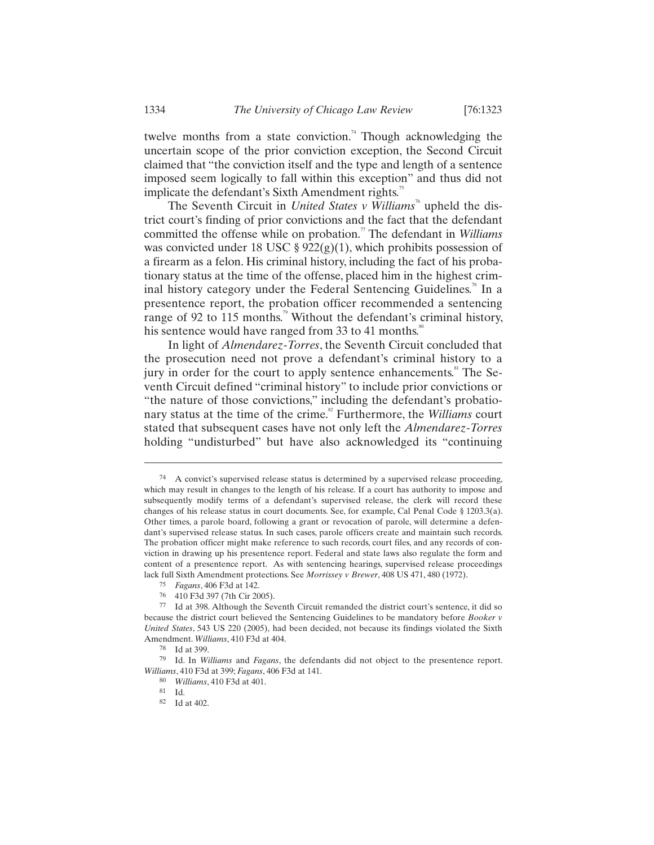twelve months from a state conviction.<sup>74</sup> Though acknowledging the uncertain scope of the prior conviction exception, the Second Circuit claimed that "the conviction itself and the type and length of a sentence imposed seem logically to fall within this exception" and thus did not implicate the defendant's Sixth Amendment rights.<sup>75</sup>

The Seventh Circuit in *United States v Williams*<sup><sup>6</sup> upheld the dis-</sup> trict court's finding of prior convictions and the fact that the defendant committed the offense while on probation.<sup>"</sup> The defendant in *Williams* was convicted under 18 USC  $\S 922(g)(1)$ , which prohibits possession of a firearm as a felon. His criminal history, including the fact of his probationary status at the time of the offense, placed him in the highest criminal history category under the Federal Sentencing Guidelines.<sup>78</sup> In a presentence report, the probation officer recommended a sentencing range of 92 to 115 months.<sup>79</sup> Without the defendant's criminal history, his sentence would have ranged from 33 to 41 months.<sup>80</sup>

In light of *Almendarez-Torres*, the Seventh Circuit concluded that the prosecution need not prove a defendant's criminal history to a jury in order for the court to apply sentence enhancements.<sup>81</sup> The Seventh Circuit defined "criminal history" to include prior convictions or "the nature of those convictions," including the defendant's probationary status at the time of the crime.<sup>82</sup> Furthermore, the *Williams* court stated that subsequent cases have not only left the *Almendarez-Torres* holding "undisturbed" but have also acknowledged its "continuing

<sup>74</sup> A convict's supervised release status is determined by a supervised release proceeding, which may result in changes to the length of his release. If a court has authority to impose and subsequently modify terms of a defendant's supervised release, the clerk will record these changes of his release status in court documents. See, for example, Cal Penal Code § 1203.3(a). Other times, a parole board, following a grant or revocation of parole, will determine a defendant's supervised release status. In such cases, parole officers create and maintain such records. The probation officer might make reference to such records, court files, and any records of conviction in drawing up his presentence report. Federal and state laws also regulate the form and content of a presentence report. As with sentencing hearings, supervised release proceedings lack full Sixth Amendment protections. See *Morrissey v Brewer*, 408 US 471, 480 (1972).

<sup>75</sup> *Fagans*, 406 F3d at 142.

<sup>76 410</sup> F3d 397 (7th Cir 2005).

<sup>77</sup> Id at 398. Although the Seventh Circuit remanded the district court's sentence, it did so because the district court believed the Sentencing Guidelines to be mandatory before *Booker v United States*, 543 US 220 (2005), had been decided, not because its findings violated the Sixth Amendment. *Williams*, 410 F3d at 404.

<sup>78</sup> Id at 399.

<sup>79</sup> Id. In *Williams* and *Fagans*, the defendants did not object to the presentence report. *Williams*, 410 F3d at 399; *Fagans*, 406 F3d at 141.

<sup>80</sup> *Williams*, 410 F3d at 401.

<sup>81</sup> Id.

<sup>82</sup> Id at 402.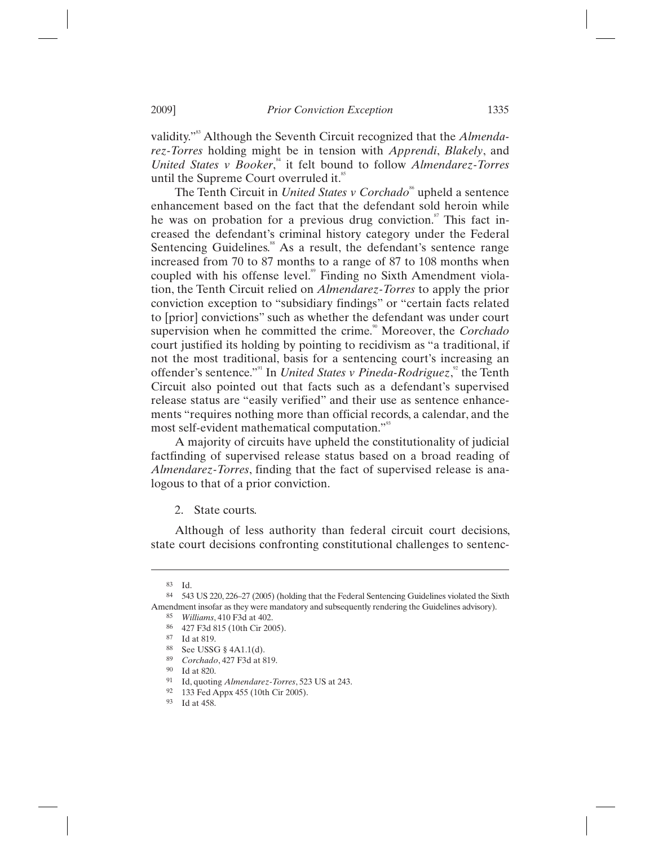validity."<sup>83</sup> Although the Seventh Circuit recognized that the *Almendarez-Torres* holding might be in tension with *Apprendi*, *Blakely*, and United States v Booker,<sup>84</sup> it felt bound to follow *Almendarez-Torres* until the Supreme Court overruled it. $\ddot{\text{s}}$ 

The Tenth Circuit in *United States v Corchado*<sup>8</sup> upheld a sentence enhancement based on the fact that the defendant sold heroin while he was on probation for a previous drug conviction. $\degree$  This fact increased the defendant's criminal history category under the Federal Sentencing Guidelines.<sup>88</sup> As a result, the defendant's sentence range increased from 70 to 87 months to a range of 87 to 108 months when coupled with his offense level.<sup>89</sup> Finding no Sixth Amendment violation, the Tenth Circuit relied on *Almendarez-Torres* to apply the prior conviction exception to "subsidiary findings" or "certain facts related to [prior] convictions" such as whether the defendant was under court supervision when he committed the crime.<sup>90</sup> Moreover, the *Corchado* court justified its holding by pointing to recidivism as "a traditional, if not the most traditional, basis for a sentencing court's increasing an offender's sentence."<sup>91</sup> In *United States v Pineda-Rodriguez*,<sup>29</sup> the Tenth Circuit also pointed out that facts such as a defendant's supervised release status are "easily verified" and their use as sentence enhancements "requires nothing more than official records, a calendar, and the most self-evident mathematical computation."<sup>33</sup>

A majority of circuits have upheld the constitutionality of judicial factfinding of supervised release status based on a broad reading of *Almendarez-Torres*, finding that the fact of supervised release is analogous to that of a prior conviction.

## 2. State courts.

Although of less authority than federal circuit court decisions, state court decisions confronting constitutional challenges to sentenc-

<sup>83</sup> Id.

<sup>84 543</sup> US 220, 226–27 (2005) (holding that the Federal Sentencing Guidelines violated the Sixth Amendment insofar as they were mandatory and subsequently rendering the Guidelines advisory).

<sup>85</sup> *Williams*, 410 F3d at 402.

<sup>86 427</sup> F3d 815 (10th Cir 2005).

<sup>87</sup> Id at 819.

<sup>88</sup> See USSG  $§$  4A1.1(d).<br>89 Corchado 427 F3d at 8

<sup>89</sup> *Corchado*, 427 F3d at 819.

<sup>90</sup> Id at 820.

<sup>91</sup> Id, quoting *Almendarez-Torres*, 523 US at 243.

<sup>92 133</sup> Fed Appx 455 (10th Cir 2005).

<sup>93</sup> Id at 458.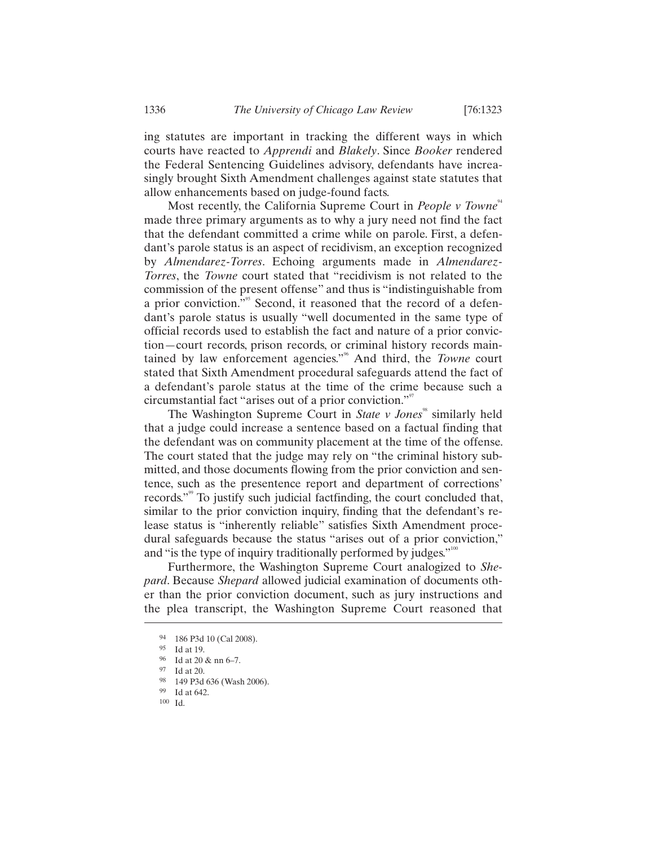ing statutes are important in tracking the different ways in which courts have reacted to *Apprendi* and *Blakely*. Since *Booker* rendered the Federal Sentencing Guidelines advisory, defendants have increasingly brought Sixth Amendment challenges against state statutes that allow enhancements based on judge-found facts.

Most recently, the California Supreme Court in *People v Towne*<sup>44</sup> made three primary arguments as to why a jury need not find the fact that the defendant committed a crime while on parole. First, a defendant's parole status is an aspect of recidivism, an exception recognized by *Almendarez-Torres*. Echoing arguments made in *Almendarez-Torres*, the *Towne* court stated that "recidivism is not related to the commission of the present offense" and thus is "indistinguishable from a prior conviction.<sup>"</sup>,<sup>"</sup> Second, it reasoned that the record of a defendant's parole status is usually "well documented in the same type of official records used to establish the fact and nature of a prior conviction—court records, prison records, or criminal history records maintained by law enforcement agencies.<sup>"</sup><sup>6</sup> And third, the *Towne* court stated that Sixth Amendment procedural safeguards attend the fact of a defendant's parole status at the time of the crime because such a circumstantial fact "arises out of a prior conviction."

The Washington Supreme Court in *State v Jones*<sup>®</sup> similarly held that a judge could increase a sentence based on a factual finding that the defendant was on community placement at the time of the offense. The court stated that the judge may rely on "the criminal history submitted, and those documents flowing from the prior conviction and sentence, such as the presentence report and department of corrections' records."<sup>99</sup> To justify such judicial factfinding, the court concluded that, similar to the prior conviction inquiry, finding that the defendant's release status is "inherently reliable" satisfies Sixth Amendment procedural safeguards because the status "arises out of a prior conviction," and "is the type of inquiry traditionally performed by judges."

Furthermore, the Washington Supreme Court analogized to *Shepard*. Because *Shepard* allowed judicial examination of documents other than the prior conviction document, such as jury instructions and the plea transcript, the Washington Supreme Court reasoned that

 $\overline{a}$ 

100 Id.

<sup>94 186</sup> P3d 10 (Cal 2008).

<sup>95</sup> Id at 19.

<sup>96</sup> Id at 20 & nn 6–7.

<sup>97</sup> Id at 20.

<sup>98 149</sup> P3d 636 (Wash 2006).

<sup>99</sup> Id at 642.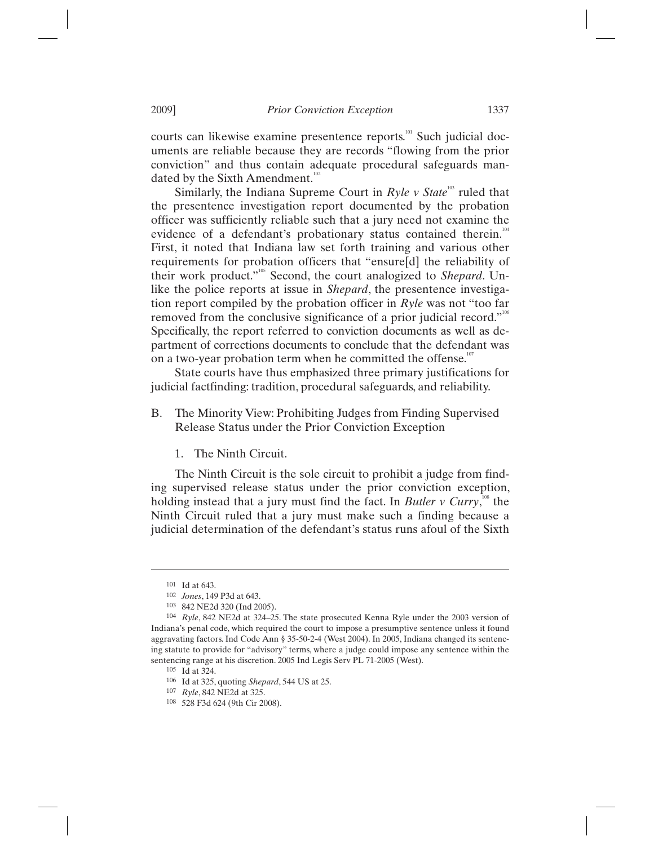courts can likewise examine presentence reports.<sup>101</sup> Such judicial documents are reliable because they are records "flowing from the prior conviction" and thus contain adequate procedural safeguards mandated by the Sixth Amendment.<sup>11</sup>

Similarly, the Indiana Supreme Court in *Ryle v State*<sup>103</sup> ruled that the presentence investigation report documented by the probation officer was sufficiently reliable such that a jury need not examine the evidence of a defendant's probationary status contained therein.<sup>104</sup> First, it noted that Indiana law set forth training and various other requirements for probation officers that "ensure[d] the reliability of their work product."<sup>105</sup> Second, the court analogized to *Shepard*. Unlike the police reports at issue in *Shepard*, the presentence investigation report compiled by the probation officer in *Ryle* was not "too far removed from the conclusive significance of a prior judicial record."<sup>106</sup> Specifically, the report referred to conviction documents as well as department of corrections documents to conclude that the defendant was on a two-year probation term when he committed the offense.<sup>107</sup>

State courts have thus emphasized three primary justifications for judicial factfinding: tradition, procedural safeguards, and reliability.

- B. The Minority View: Prohibiting Judges from Finding Supervised Release Status under the Prior Conviction Exception
	- 1. The Ninth Circuit.

The Ninth Circuit is the sole circuit to prohibit a judge from finding supervised release status under the prior conviction exception, holding instead that a jury must find the fact. In *Butler v Curry*,<sup>108</sup> the Ninth Circuit ruled that a jury must make such a finding because a judicial determination of the defendant's status runs afoul of the Sixth

<sup>101</sup> Id at 643.

<sup>102</sup> *Jones*, 149 P3d at 643.

<sup>103 842</sup> NE2d 320 (Ind 2005).

<sup>104</sup> *Ryle*, 842 NE2d at 324–25. The state prosecuted Kenna Ryle under the 2003 version of Indiana's penal code, which required the court to impose a presumptive sentence unless it found aggravating factors. Ind Code Ann § 35-50-2-4 (West 2004). In 2005, Indiana changed its sentencing statute to provide for "advisory" terms, where a judge could impose any sentence within the sentencing range at his discretion. 2005 Ind Legis Serv PL 71-2005 (West).

<sup>105</sup> Id at 324.

<sup>106</sup> Id at 325, quoting *Shepard*, 544 US at 25.

<sup>107</sup> *Ryle*, 842 NE2d at 325.

<sup>108 528</sup> F3d 624 (9th Cir 2008).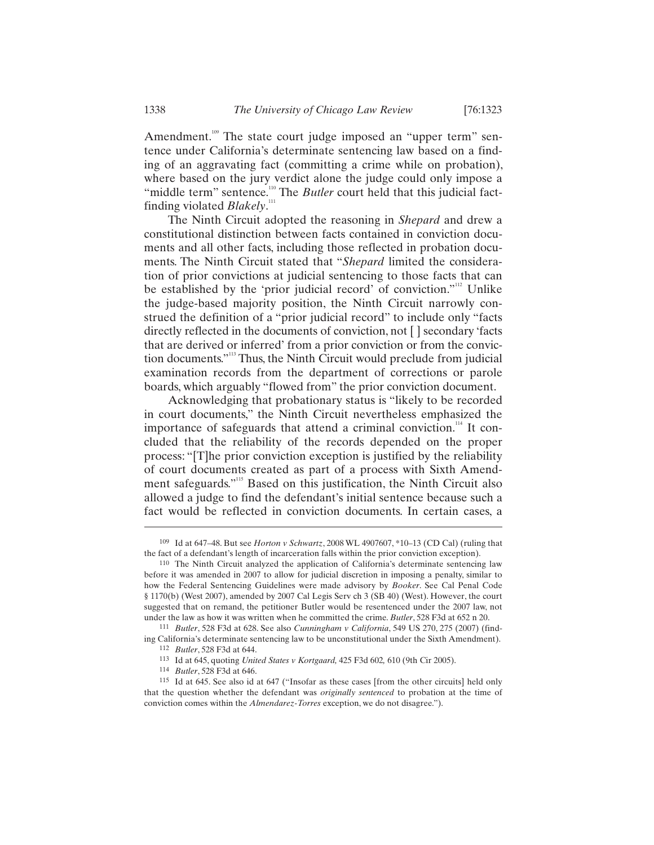Amendment.<sup>109</sup> The state court judge imposed an "upper term" sentence under California's determinate sentencing law based on a finding of an aggravating fact (committing a crime while on probation), where based on the jury verdict alone the judge could only impose a "middle term" sentence.<sup>110</sup> The *Butler* court held that this judicial factfinding violated *Blakely*.<sup>111</sup>

The Ninth Circuit adopted the reasoning in *Shepard* and drew a constitutional distinction between facts contained in conviction documents and all other facts, including those reflected in probation documents. The Ninth Circuit stated that "*Shepard* limited the consideration of prior convictions at judicial sentencing to those facts that can be established by the 'prior judicial record' of conviction."<sup>112</sup> Unlike the judge-based majority position, the Ninth Circuit narrowly construed the definition of a "prior judicial record" to include only "facts directly reflected in the documents of conviction, not [ ] secondary 'facts that are derived or inferred' from a prior conviction or from the conviction documents."<sup>113</sup> Thus, the Ninth Circuit would preclude from judicial examination records from the department of corrections or parole boards, which arguably "flowed from" the prior conviction document.

Acknowledging that probationary status is "likely to be recorded in court documents," the Ninth Circuit nevertheless emphasized the importance of safeguards that attend a criminal conviction.<sup>114</sup> It concluded that the reliability of the records depended on the proper process: "[T]he prior conviction exception is justified by the reliability of court documents created as part of a process with Sixth Amendment safeguards."<sup>115</sup> Based on this justification, the Ninth Circuit also allowed a judge to find the defendant's initial sentence because such a fact would be reflected in conviction documents. In certain cases, a

111 *Butler*, 528 F3d at 628. See also *Cunningham v California*, 549 US 270, 275 (2007) (finding California's determinate sentencing law to be unconstitutional under the Sixth Amendment).

<sup>109</sup> Id at 647–48. But see *Horton v Schwartz*, 2008 WL 4907607, \*10–13 (CD Cal) (ruling that the fact of a defendant's length of incarceration falls within the prior conviction exception).

<sup>110</sup> The Ninth Circuit analyzed the application of California's determinate sentencing law before it was amended in 2007 to allow for judicial discretion in imposing a penalty, similar to how the Federal Sentencing Guidelines were made advisory by *Booker*. See Cal Penal Code § 1170(b) (West 2007), amended by 2007 Cal Legis Serv ch 3 (SB 40) (West). However, the court suggested that on remand, the petitioner Butler would be resentenced under the 2007 law, not under the law as how it was written when he committed the crime. *Butler*, 528 F3d at 652 n 20.

<sup>112</sup> *Butler*, 528 F3d at 644.

<sup>113</sup> Id at 645, quoting *United States v Kortgaard,* 425 F3d 602*,* 610 (9th Cir 2005).

<sup>114</sup> *Butler*, 528 F3d at 646.

<sup>115</sup> Id at 645. See also id at 647 ("Insofar as these cases [from the other circuits] held only that the question whether the defendant was *originally sentenced* to probation at the time of conviction comes within the *Almendarez-Torres* exception, we do not disagree.").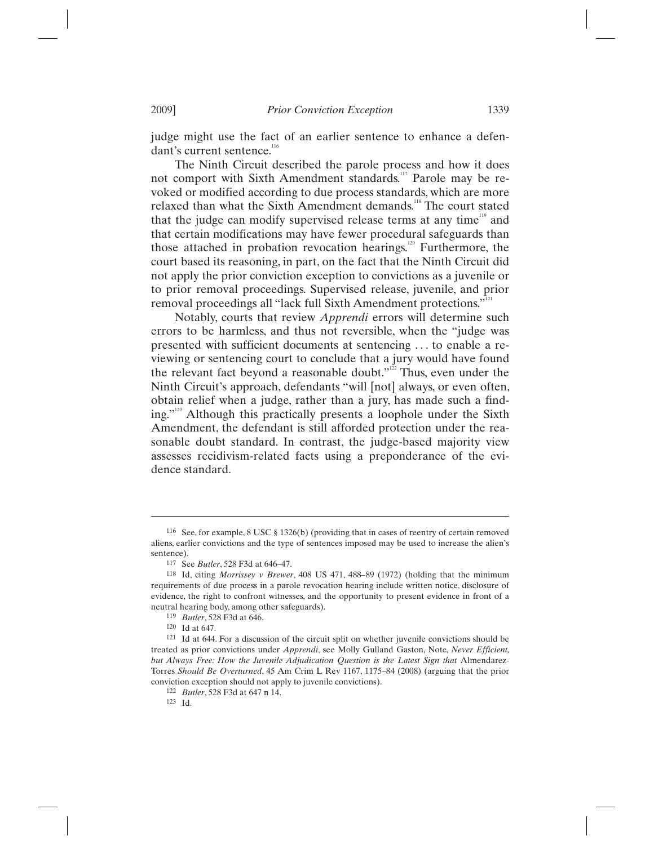judge might use the fact of an earlier sentence to enhance a defendant's current sentence.<sup>116</sup>

The Ninth Circuit described the parole process and how it does not comport with Sixth Amendment standards.<sup>117</sup> Parole may be revoked or modified according to due process standards, which are more relaxed than what the Sixth Amendment demands.<sup>118</sup> The court stated that the judge can modify supervised release terms at any time<sup>119</sup> and that certain modifications may have fewer procedural safeguards than those attached in probation revocation hearings.<sup>120</sup> Furthermore, the court based its reasoning, in part, on the fact that the Ninth Circuit did not apply the prior conviction exception to convictions as a juvenile or to prior removal proceedings. Supervised release, juvenile, and prior removal proceedings all "lack full Sixth Amendment protections."

Notably, courts that review *Apprendi* errors will determine such errors to be harmless, and thus not reversible, when the "judge was presented with sufficient documents at sentencing . . . to enable a reviewing or sentencing court to conclude that a jury would have found the relevant fact beyond a reasonable doubt."<sup>122</sup> Thus, even under the Ninth Circuit's approach, defendants "will [not] always, or even often, obtain relief when a judge, rather than a jury, has made such a finding."<sup>123</sup> Although this practically presents a loophole under the Sixth Amendment, the defendant is still afforded protection under the reasonable doubt standard. In contrast, the judge-based majority view assesses recidivism-related facts using a preponderance of the evidence standard.

<sup>116</sup> See, for example, 8 USC § 1326(b) (providing that in cases of reentry of certain removed aliens, earlier convictions and the type of sentences imposed may be used to increase the alien's sentence).

<sup>117</sup> See *Butler*, 528 F3d at 646–47.

<sup>118</sup> Id, citing *Morrissey v Brewer*, 408 US 471, 488–89 (1972) (holding that the minimum requirements of due process in a parole revocation hearing include written notice, disclosure of evidence, the right to confront witnesses, and the opportunity to present evidence in front of a neutral hearing body, among other safeguards).

<sup>119</sup> *Butler*, 528 F3d at 646.

<sup>120</sup> Id at 647.

<sup>121</sup> Id at 644. For a discussion of the circuit split on whether juvenile convictions should be treated as prior convictions under *Apprendi*, see Molly Gulland Gaston, Note, *Never Efficient, but Always Free: How the Juvenile Adjudication Question is the Latest Sign that Almendarez-*Torres *Should Be Overturned*, 45 Am Crim L Rev 1167, 1175–84 (2008) (arguing that the prior conviction exception should not apply to juvenile convictions).

<sup>122</sup> *Butler*, 528 F3d at 647 n 14.

<sup>123</sup> Id.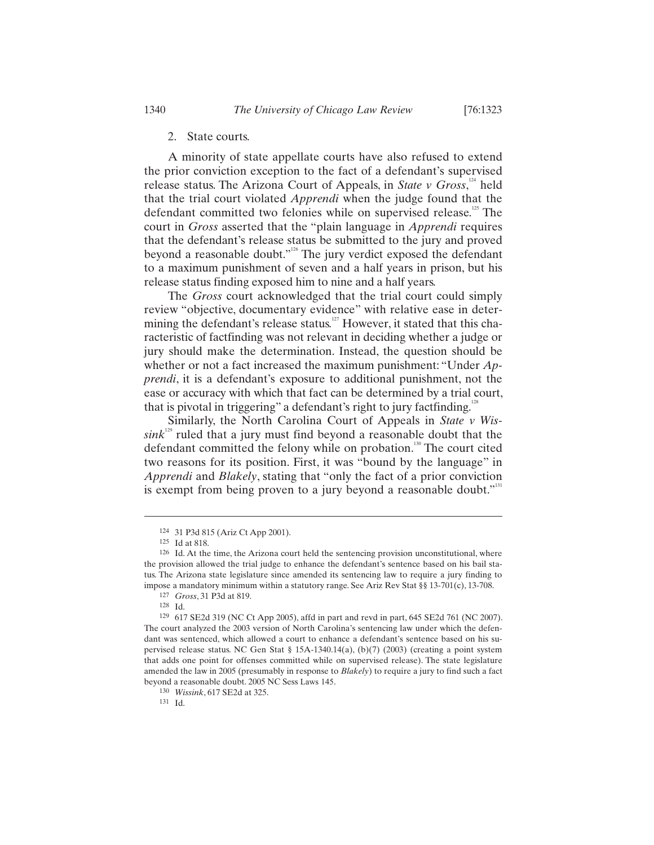#### 2. State courts.

A minority of state appellate courts have also refused to extend the prior conviction exception to the fact of a defendant's supervised release status. The Arizona Court of Appeals, in *State v Gross*,<sup>124</sup> held that the trial court violated *Apprendi* when the judge found that the defendant committed two felonies while on supervised release.<sup>125</sup> The court in *Gross* asserted that the "plain language in *Apprendi* requires that the defendant's release status be submitted to the jury and proved beyond a reasonable doubt."<sup>126</sup> The jury verdict exposed the defendant to a maximum punishment of seven and a half years in prison, but his release status finding exposed him to nine and a half years.

The *Gross* court acknowledged that the trial court could simply review "objective, documentary evidence" with relative ease in determining the defendant's release status.<sup>127</sup> However, it stated that this characteristic of factfinding was not relevant in deciding whether a judge or jury should make the determination. Instead, the question should be whether or not a fact increased the maximum punishment: "Under *Apprendi*, it is a defendant's exposure to additional punishment, not the ease or accuracy with which that fact can be determined by a trial court, that is pivotal in triggering" a defendant's right to jury factfinding.<sup>128</sup>

Similarly, the North Carolina Court of Appeals in *State v Wis* $sin k^{129}$  ruled that a jury must find beyond a reasonable doubt that the defendant committed the felony while on probation.<sup>130</sup> The court cited two reasons for its position. First, it was "bound by the language" in *Apprendi* and *Blakely*, stating that "only the fact of a prior conviction is exempt from being proven to a jury beyond a reasonable doubt."

<sup>124 31</sup> P3d 815 (Ariz Ct App 2001). 125 Id at 818.

<sup>126</sup> Id. At the time, the Arizona court held the sentencing provision unconstitutional, where the provision allowed the trial judge to enhance the defendant's sentence based on his bail status. The Arizona state legislature since amended its sentencing law to require a jury finding to impose a mandatory minimum within a statutory range. See Ariz Rev Stat §§ 13-701(c), 13-708.

<sup>127</sup> *Gross*, 31 P3d at 819.

<sup>128</sup> Id.

<sup>129 617</sup> SE2d 319 (NC Ct App 2005), affd in part and revd in part, 645 SE2d 761 (NC 2007). The court analyzed the 2003 version of North Carolina's sentencing law under which the defendant was sentenced, which allowed a court to enhance a defendant's sentence based on his supervised release status. NC Gen Stat § 15A-1340.14(a), (b)(7) (2003) (creating a point system that adds one point for offenses committed while on supervised release). The state legislature amended the law in 2005 (presumably in response to *Blakely*) to require a jury to find such a fact beyond a reasonable doubt. 2005 NC Sess Laws 145.

<sup>130</sup> *Wissink*, 617 SE2d at 325.

<sup>131</sup> Id.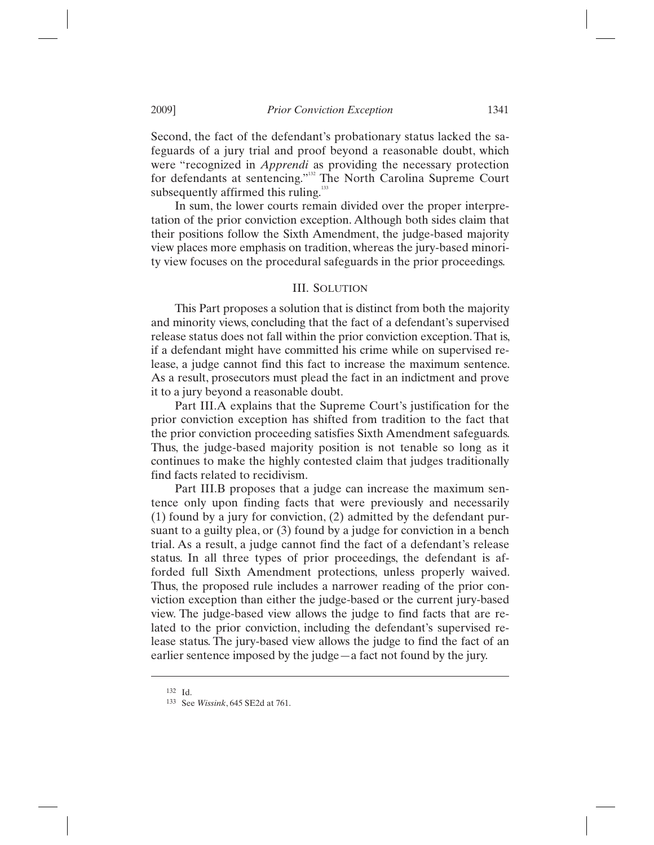Second, the fact of the defendant's probationary status lacked the safeguards of a jury trial and proof beyond a reasonable doubt, which were "recognized in *Apprendi* as providing the necessary protection for defendants at sentencing."<sup>132</sup> The North Carolina Supreme Court subsequently affirmed this ruling. $133$ 

In sum, the lower courts remain divided over the proper interpretation of the prior conviction exception. Although both sides claim that their positions follow the Sixth Amendment, the judge-based majority view places more emphasis on tradition, whereas the jury-based minority view focuses on the procedural safeguards in the prior proceedings.

# III. SOLUTION

This Part proposes a solution that is distinct from both the majority and minority views, concluding that the fact of a defendant's supervised release status does not fall within the prior conviction exception. That is, if a defendant might have committed his crime while on supervised release, a judge cannot find this fact to increase the maximum sentence. As a result, prosecutors must plead the fact in an indictment and prove it to a jury beyond a reasonable doubt.

Part III.A explains that the Supreme Court's justification for the prior conviction exception has shifted from tradition to the fact that the prior conviction proceeding satisfies Sixth Amendment safeguards. Thus, the judge-based majority position is not tenable so long as it continues to make the highly contested claim that judges traditionally find facts related to recidivism.

Part III.B proposes that a judge can increase the maximum sentence only upon finding facts that were previously and necessarily (1) found by a jury for conviction, (2) admitted by the defendant pursuant to a guilty plea, or (3) found by a judge for conviction in a bench trial. As a result, a judge cannot find the fact of a defendant's release status. In all three types of prior proceedings, the defendant is afforded full Sixth Amendment protections, unless properly waived. Thus, the proposed rule includes a narrower reading of the prior conviction exception than either the judge-based or the current jury-based view. The judge-based view allows the judge to find facts that are related to the prior conviction, including the defendant's supervised release status. The jury-based view allows the judge to find the fact of an earlier sentence imposed by the judge—a fact not found by the jury.

<sup>132</sup> Id.

<sup>133</sup> See *Wissink*, 645 SE2d at 761.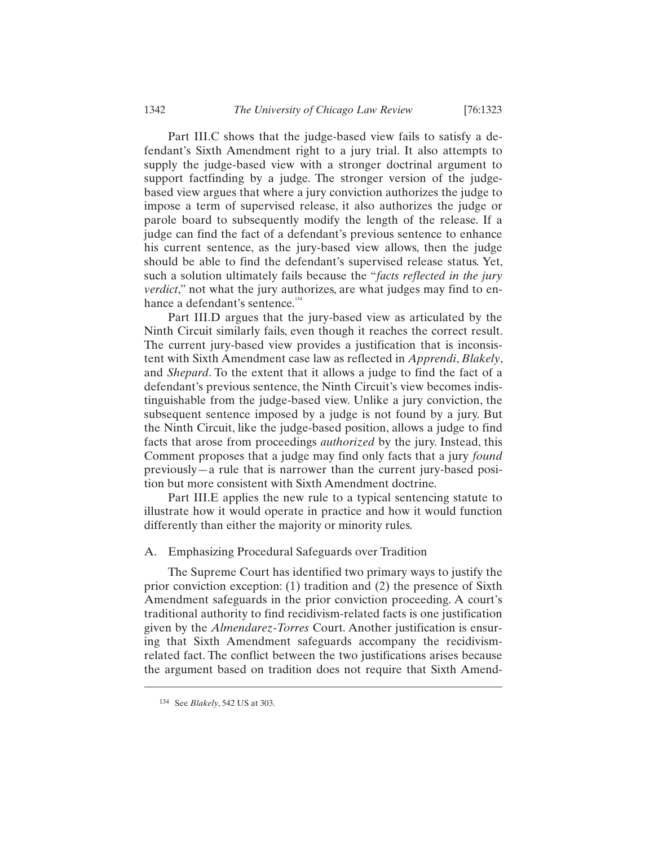Part III.C shows that the judge-based view fails to satisfy a defendant's Sixth Amendment right to a jury trial. It also attempts to supply the judge-based view with a stronger doctrinal argument to support factfinding by a judge. The stronger version of the judgebased view argues that where a jury conviction authorizes the judge to impose a term of supervised release, it also authorizes the judge or parole board to subsequently modify the length of the release. If a judge can find the fact of a defendant's previous sentence to enhance his current sentence, as the jury-based view allows, then the judge should be able to find the defendant's supervised release status. Yet, such a solution ultimately fails because the "*facts reflected in the jury verdict*," not what the jury authorizes, are what judges may find to enhance a defendant's sentence.<sup>13</sup>

Part III.D argues that the jury-based view as articulated by the Ninth Circuit similarly fails, even though it reaches the correct result. The current jury-based view provides a justification that is inconsistent with Sixth Amendment case law as reflected in *Apprendi*, *Blakely*, and *Shepard*. To the extent that it allows a judge to find the fact of a defendant's previous sentence, the Ninth Circuit's view becomes indistinguishable from the judge-based view. Unlike a jury conviction, the subsequent sentence imposed by a judge is not found by a jury. But the Ninth Circuit, like the judge-based position, allows a judge to find facts that arose from proceedings *authorized* by the jury. Instead, this Comment proposes that a judge may find only facts that a jury *found* previously—a rule that is narrower than the current jury-based position but more consistent with Sixth Amendment doctrine.

Part III.E applies the new rule to a typical sentencing statute to illustrate how it would operate in practice and how it would function differently than either the majority or minority rules.

# A. Emphasizing Procedural Safeguards over Tradition

The Supreme Court has identified two primary ways to justify the prior conviction exception: (1) tradition and (2) the presence of Sixth Amendment safeguards in the prior conviction proceeding. A court's traditional authority to find recidivism-related facts is one justification given by the *Almendarez-Torres* Court. Another justification is ensuring that Sixth Amendment safeguards accompany the recidivismrelated fact. The conflict between the two justifications arises because the argument based on tradition does not require that Sixth Amend-

<sup>134</sup> See *Blakely*, 542 US at 303.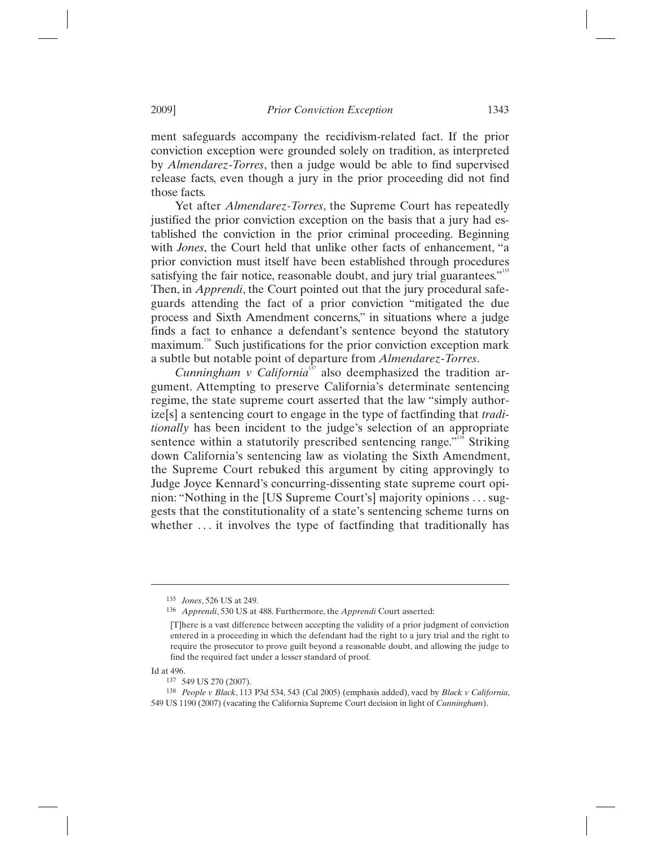ment safeguards accompany the recidivism-related fact. If the prior conviction exception were grounded solely on tradition, as interpreted by *Almendarez-Torres*, then a judge would be able to find supervised release facts, even though a jury in the prior proceeding did not find those facts.

Yet after *Almendarez-Torres*, the Supreme Court has repeatedly justified the prior conviction exception on the basis that a jury had established the conviction in the prior criminal proceeding. Beginning with *Jones*, the Court held that unlike other facts of enhancement, "a prior conviction must itself have been established through procedures satisfying the fair notice, reasonable doubt, and jury trial guarantees."<sup>135</sup> Then, in *Apprendi*, the Court pointed out that the jury procedural safeguards attending the fact of a prior conviction "mitigated the due process and Sixth Amendment concerns," in situations where a judge finds a fact to enhance a defendant's sentence beyond the statutory maximum.<sup>136</sup> Such justifications for the prior conviction exception mark a subtle but notable point of departure from *Almendarez-Torres*.

*Cunningham v California*<sup>137</sup> also deemphasized the tradition argument. Attempting to preserve California's determinate sentencing regime, the state supreme court asserted that the law "simply authorize[s] a sentencing court to engage in the type of factfinding that *traditionally* has been incident to the judge's selection of an appropriate sentence within a statutorily prescribed sentencing range."<sup>138</sup> Striking down California's sentencing law as violating the Sixth Amendment, the Supreme Court rebuked this argument by citing approvingly to Judge Joyce Kennard's concurring-dissenting state supreme court opinion: "Nothing in the [US Supreme Court's] majority opinions . . . suggests that the constitutionality of a state's sentencing scheme turns on whether ... it involves the type of factfinding that traditionally has

<sup>135</sup> *Jones*, 526 US at 249.

<sup>136</sup> *Apprendi*, 530 US at 488. Furthermore, the *Apprendi* Court asserted:

<sup>[</sup>T]here is a vast difference between accepting the validity of a prior judgment of conviction entered in a proceeding in which the defendant had the right to a jury trial and the right to require the prosecutor to prove guilt beyond a reasonable doubt, and allowing the judge to find the required fact under a lesser standard of proof.

Id at 496.

<sup>137 549</sup> US 270 (2007).

<sup>138</sup> *People v Black*, 113 P3d 534, 543 (Cal 2005) (emphasis added), vacd by *Black v California*, 549 US 1190 (2007) (vacating the California Supreme Court decision in light of *Cunningham*).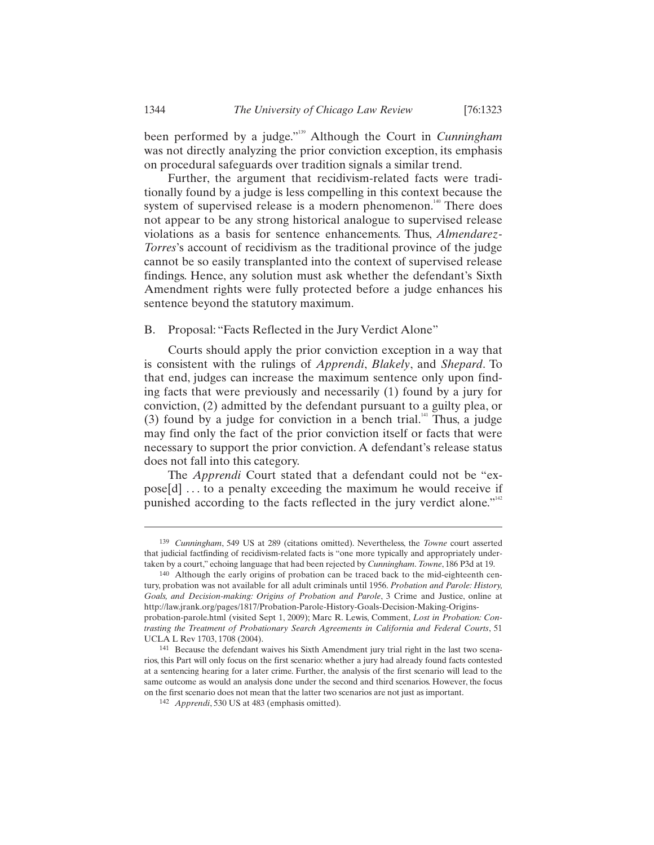been performed by a judge."139 Although the Court in *Cunningham* was not directly analyzing the prior conviction exception, its emphasis on procedural safeguards over tradition signals a similar trend.

Further, the argument that recidivism-related facts were traditionally found by a judge is less compelling in this context because the system of supervised release is a modern phenomenon.<sup>140</sup> There does not appear to be any strong historical analogue to supervised release violations as a basis for sentence enhancements. Thus, *Almendarez-Torres*'s account of recidivism as the traditional province of the judge cannot be so easily transplanted into the context of supervised release findings. Hence, any solution must ask whether the defendant's Sixth Amendment rights were fully protected before a judge enhances his sentence beyond the statutory maximum.

## B. Proposal: "Facts Reflected in the Jury Verdict Alone"

Courts should apply the prior conviction exception in a way that is consistent with the rulings of *Apprendi*, *Blakely*, and *Shepard*. To that end, judges can increase the maximum sentence only upon finding facts that were previously and necessarily (1) found by a jury for conviction, (2) admitted by the defendant pursuant to a guilty plea, or (3) found by a judge for conviction in a bench trial.<sup>141</sup> Thus, a judge may find only the fact of the prior conviction itself or facts that were necessary to support the prior conviction. A defendant's release status does not fall into this category.

The *Apprendi* Court stated that a defendant could not be "expose[d] . . . to a penalty exceeding the maximum he would receive if punished according to the facts reflected in the jury verdict alone."<sup>142</sup>

<sup>139</sup> *Cunningham*, 549 US at 289 (citations omitted). Nevertheless, the *Towne* court asserted that judicial factfinding of recidivism-related facts is "one more typically and appropriately undertaken by a court," echoing language that had been rejected by *Cunningham*. *Towne*, 186 P3d at 19.

<sup>140</sup> Although the early origins of probation can be traced back to the mid-eighteenth century, probation was not available for all adult criminals until 1956. *Probation and Parole: History, Goals, and Decision-making: Origins of Probation and Parole*, 3 Crime and Justice, online at http://law.jrank.org/pages/1817/Probation-Parole-History-Goals-Decision-Making-Originsprobation-parole.html (visited Sept 1, 2009); Marc R. Lewis, Comment, *Lost in Probation: Contrasting the Treatment of Probationary Search Agreements in California and Federal Courts*, 51 UCLA L Rev 1703, 1708 (2004).

<sup>141</sup> Because the defendant waives his Sixth Amendment jury trial right in the last two scenarios, this Part will only focus on the first scenario: whether a jury had already found facts contested at a sentencing hearing for a later crime. Further, the analysis of the first scenario will lead to the same outcome as would an analysis done under the second and third scenarios. However, the focus on the first scenario does not mean that the latter two scenarios are not just as important.

<sup>142</sup> *Apprendi*, 530 US at 483 (emphasis omitted).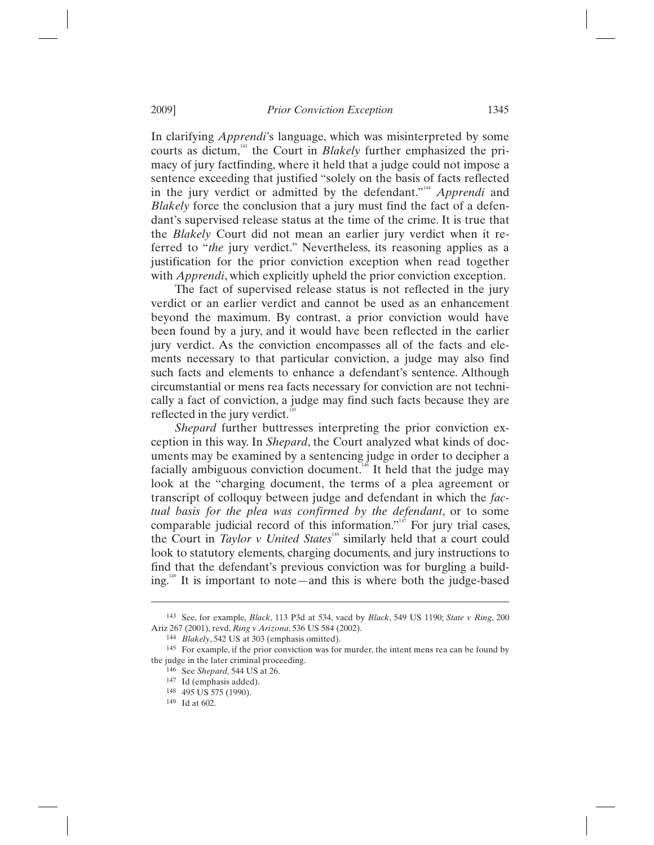In clarifying *Apprendi*'s language, which was misinterpreted by some courts as dictum,<sup>143</sup> the Court in *Blakely* further emphasized the primacy of jury factfinding, where it held that a judge could not impose a sentence exceeding that justified "solely on the basis of facts reflected in the jury verdict or admitted by the defendant."<sup>144</sup> *Apprendi* and *Blakely* force the conclusion that a jury must find the fact of a defendant's supervised release status at the time of the crime. It is true that the *Blakely* Court did not mean an earlier jury verdict when it referred to "*the* jury verdict." Nevertheless, its reasoning applies as a justification for the prior conviction exception when read together with *Apprendi*, which explicitly upheld the prior conviction exception.

The fact of supervised release status is not reflected in the jury verdict or an earlier verdict and cannot be used as an enhancement beyond the maximum. By contrast, a prior conviction would have been found by a jury, and it would have been reflected in the earlier jury verdict. As the conviction encompasses all of the facts and elements necessary to that particular conviction, a judge may also find such facts and elements to enhance a defendant's sentence. Although circumstantial or mens rea facts necessary for conviction are not technically a fact of conviction, a judge may find such facts because they are reflected in the jury verdict.<sup>1</sup>

*Shepard* further buttresses interpreting the prior conviction exception in this way. In *Shepard*, the Court analyzed what kinds of documents may be examined by a sentencing judge in order to decipher a facially ambiguous conviction document.<sup>146</sup> It held that the judge may look at the "charging document, the terms of a plea agreement or transcript of colloquy between judge and defendant in which the *factual basis for the plea was confirmed by the defendant*, or to some comparable judicial record of this information."<sup> $47$ </sup> For jury trial cases, the Court in *Taylor v United States*<sup>148</sup> similarly held that a court could look to statutory elements, charging documents, and jury instructions to find that the defendant's previous conviction was for burgling a building.149 It is important to note—and this is where both the judge-based

<sup>143</sup> See, for example, *Black*, 113 P3d at 534, vacd by *Black*, 549 US 1190; *State v Ring*, 200 Ariz 267 (2001), revd, *Ring v Arizona*, 536 US 584 (2002).

<sup>144</sup> *Blakely*, 542 US at 303 (emphasis omitted).

<sup>145</sup> For example, if the prior conviction was for murder, the intent mens rea can be found by the judge in the later criminal proceeding.

<sup>146</sup> See *Shepard*, 544 US at 26.

<sup>147</sup> Id (emphasis added).

<sup>148 495</sup> US 575 (1990).

<sup>149</sup> Id at 602.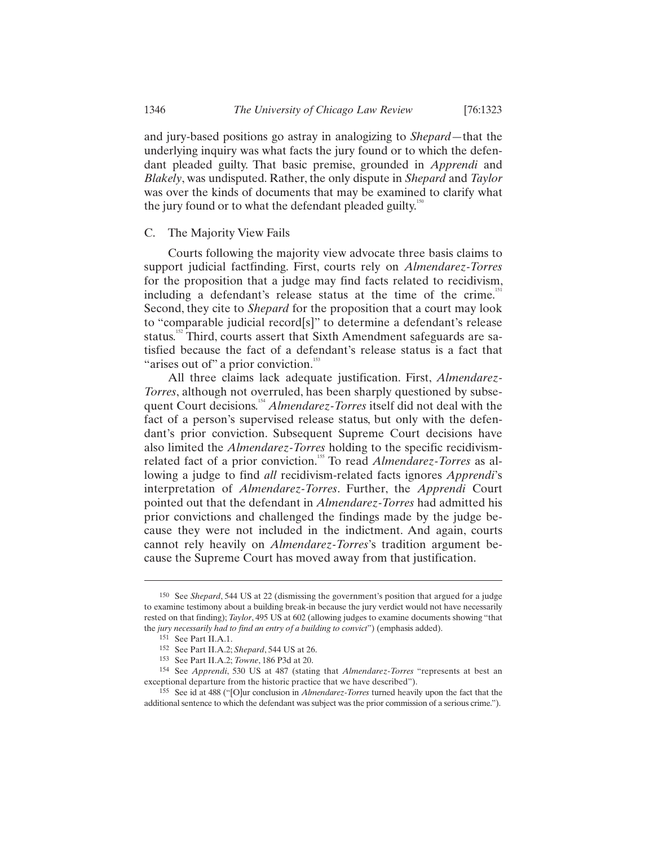and jury-based positions go astray in analogizing to *Shepard*—that the underlying inquiry was what facts the jury found or to which the defendant pleaded guilty. That basic premise, grounded in *Apprendi* and *Blakely*, was undisputed. Rather, the only dispute in *Shepard* and *Taylor* was over the kinds of documents that may be examined to clarify what the jury found or to what the defendant pleaded guilty.<sup>150</sup>

## C. The Majority View Fails

Courts following the majority view advocate three basis claims to support judicial factfinding. First, courts rely on *Almendarez-Torres* for the proposition that a judge may find facts related to recidivism, including a defendant's release status at the time of the crime.<sup>151</sup> Second, they cite to *Shepard* for the proposition that a court may look to "comparable judicial record[s]" to determine a defendant's release status.<sup>152</sup> Third, courts assert that Sixth Amendment safeguards are satisfied because the fact of a defendant's release status is a fact that "arises out of" a prior conviction."

All three claims lack adequate justification. First, *Almendarez-Torres*, although not overruled, has been sharply questioned by subsequent Court decisions.<sup>154</sup> *Almendarez-Torres* itself did not deal with the fact of a person's supervised release status, but only with the defendant's prior conviction. Subsequent Supreme Court decisions have also limited the *Almendarez-Torres* holding to the specific recidivismrelated fact of a prior conviction.<sup>155</sup> To read *Almendarez-Torres* as allowing a judge to find *all* recidivism-related facts ignores *Apprendi*'s interpretation of *Almendarez-Torres*. Further, the *Apprendi* Court pointed out that the defendant in *Almendarez-Torres* had admitted his prior convictions and challenged the findings made by the judge because they were not included in the indictment. And again, courts cannot rely heavily on *Almendarez-Torres*'s tradition argument because the Supreme Court has moved away from that justification.

<sup>150</sup> See *Shepard*, 544 US at 22 (dismissing the government's position that argued for a judge to examine testimony about a building break-in because the jury verdict would not have necessarily rested on that finding); *Taylor*, 495 US at 602 (allowing judges to examine documents showing "that the *jury necessarily had to find an entry of a building to convict*") (emphasis added).

<sup>151</sup> See Part II.A.1.

<sup>152</sup> See Part II.A.2; *Shepard*, 544 US at 26.

<sup>153</sup> See Part II.A.2; *Towne*, 186 P3d at 20.

<sup>154</sup> See *Apprendi*, 530 US at 487 (stating that *Almendarez-Torres* "represents at best an exceptional departure from the historic practice that we have described").

<sup>155</sup> See id at 488 ("[O]ur conclusion in *Almendarez-Torres* turned heavily upon the fact that the additional sentence to which the defendant was subject was the prior commission of a serious crime.").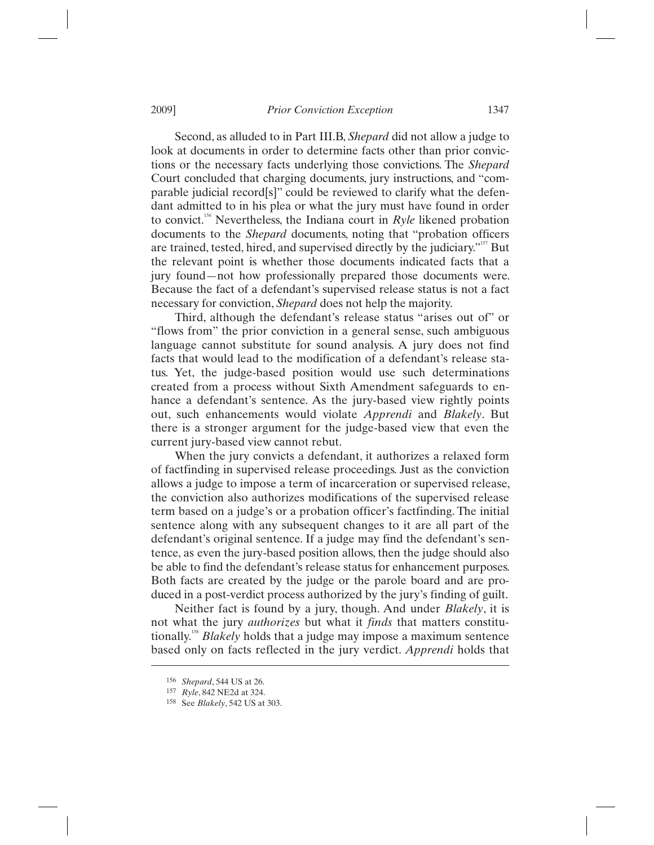Second, as alluded to in Part III.B, *Shepard* did not allow a judge to look at documents in order to determine facts other than prior convictions or the necessary facts underlying those convictions. The *Shepard* Court concluded that charging documents, jury instructions, and "comparable judicial record[s]" could be reviewed to clarify what the defendant admitted to in his plea or what the jury must have found in order to convict.<sup>156</sup> Nevertheless, the Indiana court in  $Ryle$  likened probation documents to the *Shepard* documents, noting that "probation officers are trained, tested, hired, and supervised directly by the judiciary."<sup>157</sup> But the relevant point is whether those documents indicated facts that a jury found—not how professionally prepared those documents were. Because the fact of a defendant's supervised release status is not a fact necessary for conviction, *Shepard* does not help the majority.

Third, although the defendant's release status "arises out of" or "flows from" the prior conviction in a general sense, such ambiguous language cannot substitute for sound analysis. A jury does not find facts that would lead to the modification of a defendant's release status. Yet, the judge-based position would use such determinations created from a process without Sixth Amendment safeguards to enhance a defendant's sentence. As the jury-based view rightly points out, such enhancements would violate *Apprendi* and *Blakely*. But there is a stronger argument for the judge-based view that even the current jury-based view cannot rebut.

When the jury convicts a defendant, it authorizes a relaxed form of factfinding in supervised release proceedings. Just as the conviction allows a judge to impose a term of incarceration or supervised release, the conviction also authorizes modifications of the supervised release term based on a judge's or a probation officer's factfinding. The initial sentence along with any subsequent changes to it are all part of the defendant's original sentence. If a judge may find the defendant's sentence, as even the jury-based position allows, then the judge should also be able to find the defendant's release status for enhancement purposes. Both facts are created by the judge or the parole board and are produced in a post-verdict process authorized by the jury's finding of guilt.

Neither fact is found by a jury, though. And under *Blakely*, it is not what the jury *authorizes* but what it *finds* that matters constitutionally.158 *Blakely* holds that a judge may impose a maximum sentence based only on facts reflected in the jury verdict. *Apprendi* holds that

<sup>156</sup> *Shepard*, 544 US at 26.

<sup>157</sup> *Ryle*, 842 NE2d at 324.

<sup>158</sup> See *Blakely*, 542 US at 303.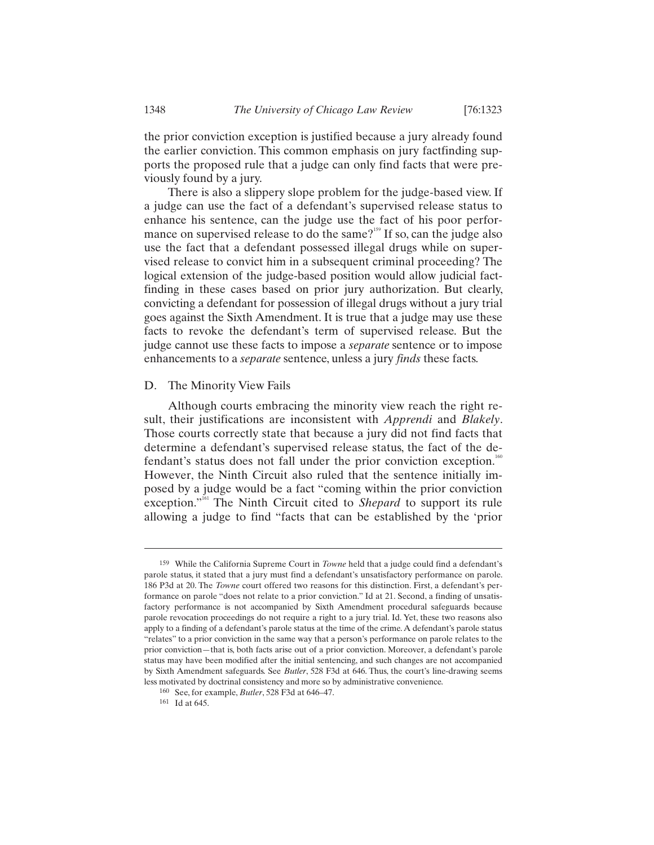the prior conviction exception is justified because a jury already found the earlier conviction. This common emphasis on jury factfinding supports the proposed rule that a judge can only find facts that were previously found by a jury.

There is also a slippery slope problem for the judge-based view. If a judge can use the fact of a defendant's supervised release status to enhance his sentence, can the judge use the fact of his poor performance on supervised release to do the same?<sup>159</sup> If so, can the judge also use the fact that a defendant possessed illegal drugs while on supervised release to convict him in a subsequent criminal proceeding? The logical extension of the judge-based position would allow judicial factfinding in these cases based on prior jury authorization. But clearly, convicting a defendant for possession of illegal drugs without a jury trial goes against the Sixth Amendment. It is true that a judge may use these facts to revoke the defendant's term of supervised release. But the judge cannot use these facts to impose a *separate* sentence or to impose enhancements to a *separate* sentence, unless a jury *finds* these facts.

## D. The Minority View Fails

Although courts embracing the minority view reach the right result, their justifications are inconsistent with *Apprendi* and *Blakely*. Those courts correctly state that because a jury did not find facts that determine a defendant's supervised release status, the fact of the defendant's status does not fall under the prior conviction exception.<sup>16</sup> However, the Ninth Circuit also ruled that the sentence initially imposed by a judge would be a fact "coming within the prior conviction exception."<sup>161</sup> The Ninth Circuit cited to *Shepard* to support its rule allowing a judge to find "facts that can be established by the 'prior

<sup>159</sup> While the California Supreme Court in *Towne* held that a judge could find a defendant's parole status, it stated that a jury must find a defendant's unsatisfactory performance on parole. 186 P3d at 20. The *Towne* court offered two reasons for this distinction. First, a defendant's performance on parole "does not relate to a prior conviction." Id at 21. Second, a finding of unsatisfactory performance is not accompanied by Sixth Amendment procedural safeguards because parole revocation proceedings do not require a right to a jury trial. Id. Yet, these two reasons also apply to a finding of a defendant's parole status at the time of the crime. A defendant's parole status "relates" to a prior conviction in the same way that a person's performance on parole relates to the prior conviction—that is, both facts arise out of a prior conviction. Moreover, a defendant's parole status may have been modified after the initial sentencing, and such changes are not accompanied by Sixth Amendment safeguards. See *Butler*, 528 F3d at 646. Thus, the court's line-drawing seems less motivated by doctrinal consistency and more so by administrative convenience.

<sup>160</sup> See, for example, *Butler*, 528 F3d at 646–47.

<sup>161</sup> Id at 645.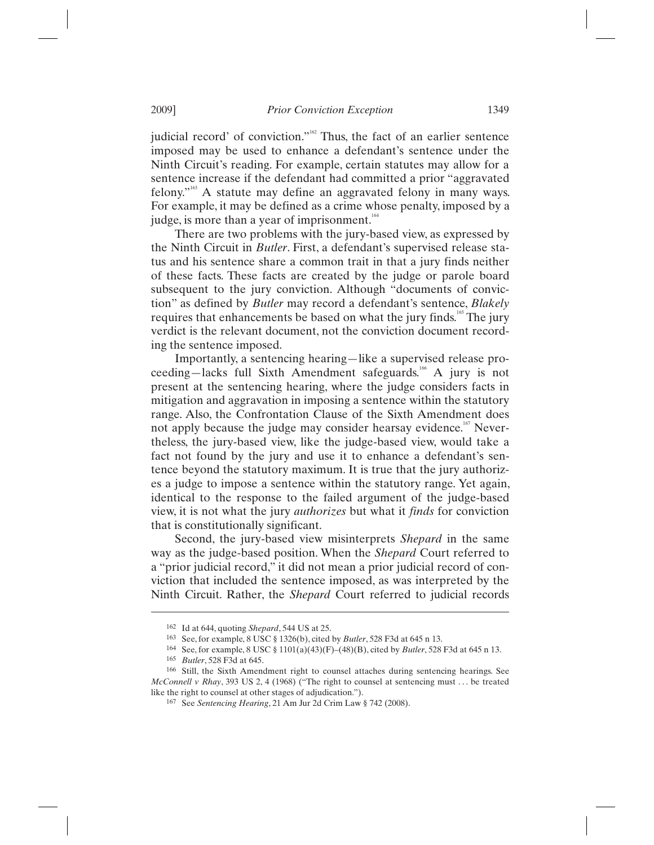judicial record' of conviction."<sup>162</sup> Thus, the fact of an earlier sentence imposed may be used to enhance a defendant's sentence under the Ninth Circuit's reading. For example, certain statutes may allow for a sentence increase if the defendant had committed a prior "aggravated felony."<sup>163</sup> A statute may define an aggravated felony in many ways. For example, it may be defined as a crime whose penalty, imposed by a judge, is more than a year of imprisonment. $164$ 

There are two problems with the jury-based view, as expressed by the Ninth Circuit in *Butler*. First, a defendant's supervised release status and his sentence share a common trait in that a jury finds neither of these facts. These facts are created by the judge or parole board subsequent to the jury conviction. Although "documents of conviction" as defined by *Butler* may record a defendant's sentence, *Blakely* requires that enhancements be based on what the jury finds.<sup>165</sup> The jury verdict is the relevant document, not the conviction document recording the sentence imposed.

Importantly, a sentencing hearing—like a supervised release proceeding—lacks full Sixth Amendment safeguards.<sup>166</sup> A jury is not present at the sentencing hearing, where the judge considers facts in mitigation and aggravation in imposing a sentence within the statutory range. Also, the Confrontation Clause of the Sixth Amendment does not apply because the judge may consider hearsay evidence.<sup>167</sup> Nevertheless, the jury-based view, like the judge-based view, would take a fact not found by the jury and use it to enhance a defendant's sentence beyond the statutory maximum. It is true that the jury authorizes a judge to impose a sentence within the statutory range. Yet again, identical to the response to the failed argument of the judge-based view, it is not what the jury *authorizes* but what it *finds* for conviction that is constitutionally significant.

Second, the jury-based view misinterprets *Shepard* in the same way as the judge-based position. When the *Shepard* Court referred to a "prior judicial record," it did not mean a prior judicial record of conviction that included the sentence imposed, as was interpreted by the Ninth Circuit. Rather, the *Shepard* Court referred to judicial records

<sup>162</sup> Id at 644, quoting *Shepard*, 544 US at 25.

<sup>163</sup> See, for example, 8 USC § 1326(b), cited by *Butler*, 528 F3d at 645 n 13.

<sup>164</sup> See, for example, 8 USC § 1101(a)(43)(F)–(48)(B), cited by *Butler*, 528 F3d at 645 n 13.

<sup>165</sup> *Butler*, 528 F3d at 645.

<sup>166</sup> Still, the Sixth Amendment right to counsel attaches during sentencing hearings. See *McConnell v Rhay*, 393 US 2, 4 (1968) ("The right to counsel at sentencing must . . . be treated like the right to counsel at other stages of adjudication.").

<sup>167</sup> See *Sentencing Hearing*, 21 Am Jur 2d Crim Law § 742 (2008).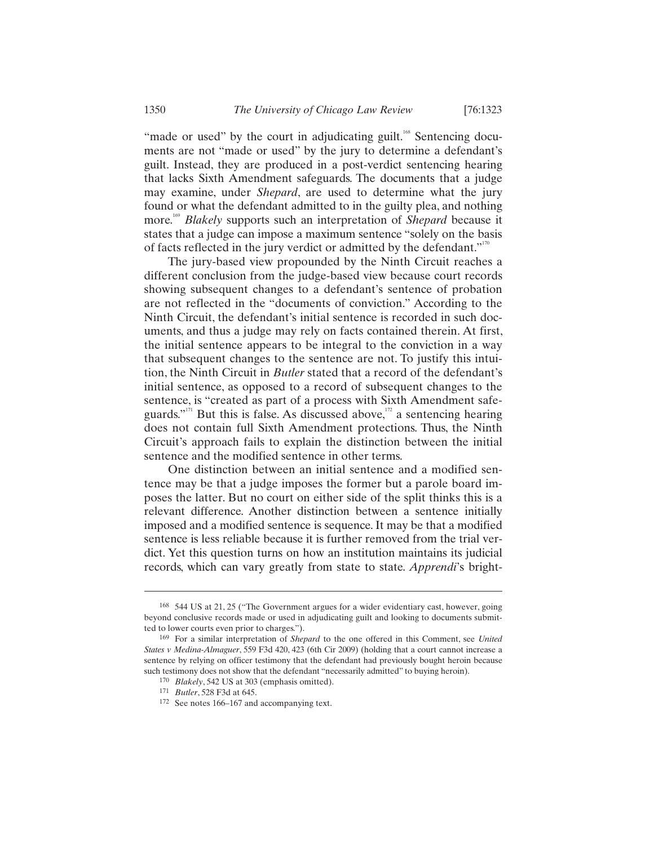"made or used" by the court in adjudicating guilt.<sup>168</sup> Sentencing documents are not "made or used" by the jury to determine a defendant's guilt. Instead, they are produced in a post-verdict sentencing hearing that lacks Sixth Amendment safeguards. The documents that a judge may examine, under *Shepard*, are used to determine what the jury found or what the defendant admitted to in the guilty plea, and nothing more.169 *Blakely* supports such an interpretation of *Shepard* because it states that a judge can impose a maximum sentence "solely on the basis of facts reflected in the jury verdict or admitted by the defendant."<sup>170</sup>

The jury-based view propounded by the Ninth Circuit reaches a different conclusion from the judge-based view because court records showing subsequent changes to a defendant's sentence of probation are not reflected in the "documents of conviction." According to the Ninth Circuit, the defendant's initial sentence is recorded in such documents, and thus a judge may rely on facts contained therein. At first, the initial sentence appears to be integral to the conviction in a way that subsequent changes to the sentence are not. To justify this intuition, the Ninth Circuit in *Butler* stated that a record of the defendant's initial sentence, as opposed to a record of subsequent changes to the sentence, is "created as part of a process with Sixth Amendment safeguards."<sup>171</sup> But this is false. As discussed above, $1/2$  a sentencing hearing does not contain full Sixth Amendment protections. Thus, the Ninth Circuit's approach fails to explain the distinction between the initial sentence and the modified sentence in other terms.

One distinction between an initial sentence and a modified sentence may be that a judge imposes the former but a parole board imposes the latter. But no court on either side of the split thinks this is a relevant difference. Another distinction between a sentence initially imposed and a modified sentence is sequence. It may be that a modified sentence is less reliable because it is further removed from the trial verdict. Yet this question turns on how an institution maintains its judicial records, which can vary greatly from state to state. *Apprendi*'s bright-

<sup>168 544</sup> US at 21, 25 ("The Government argues for a wider evidentiary cast, however, going beyond conclusive records made or used in adjudicating guilt and looking to documents submitted to lower courts even prior to charges.").

<sup>169</sup> For a similar interpretation of *Shepard* to the one offered in this Comment, see *United States v Medina-Almaguer*, 559 F3d 420, 423 (6th Cir 2009) (holding that a court cannot increase a sentence by relying on officer testimony that the defendant had previously bought heroin because such testimony does not show that the defendant "necessarily admitted" to buying heroin).

<sup>170</sup> *Blakely*, 542 US at 303 (emphasis omitted).

<sup>171</sup> *Butler*, 528 F3d at 645.

<sup>172</sup> See notes 166–167 and accompanying text.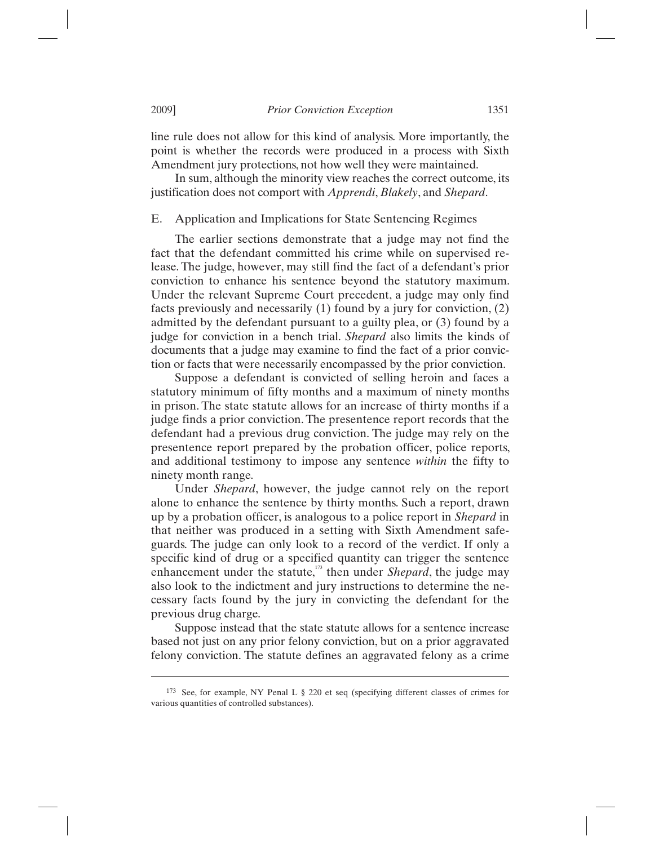line rule does not allow for this kind of analysis. More importantly, the point is whether the records were produced in a process with Sixth Amendment jury protections, not how well they were maintained.

In sum, although the minority view reaches the correct outcome, its justification does not comport with *Apprendi*, *Blakely*, and *Shepard*.

### E. Application and Implications for State Sentencing Regimes

The earlier sections demonstrate that a judge may not find the fact that the defendant committed his crime while on supervised release. The judge, however, may still find the fact of a defendant's prior conviction to enhance his sentence beyond the statutory maximum. Under the relevant Supreme Court precedent, a judge may only find facts previously and necessarily (1) found by a jury for conviction, (2) admitted by the defendant pursuant to a guilty plea, or (3) found by a judge for conviction in a bench trial. *Shepard* also limits the kinds of documents that a judge may examine to find the fact of a prior conviction or facts that were necessarily encompassed by the prior conviction.

Suppose a defendant is convicted of selling heroin and faces a statutory minimum of fifty months and a maximum of ninety months in prison. The state statute allows for an increase of thirty months if a judge finds a prior conviction. The presentence report records that the defendant had a previous drug conviction. The judge may rely on the presentence report prepared by the probation officer, police reports, and additional testimony to impose any sentence *within* the fifty to ninety month range.

Under *Shepard*, however, the judge cannot rely on the report alone to enhance the sentence by thirty months. Such a report, drawn up by a probation officer, is analogous to a police report in *Shepard* in that neither was produced in a setting with Sixth Amendment safeguards. The judge can only look to a record of the verdict. If only a specific kind of drug or a specified quantity can trigger the sentence enhancement under the statute,<sup>13</sup> then under *Shepard*, the judge may also look to the indictment and jury instructions to determine the necessary facts found by the jury in convicting the defendant for the previous drug charge.

Suppose instead that the state statute allows for a sentence increase based not just on any prior felony conviction, but on a prior aggravated felony conviction. The statute defines an aggravated felony as a crime

<sup>173</sup> See, for example, NY Penal L § 220 et seq (specifying different classes of crimes for various quantities of controlled substances).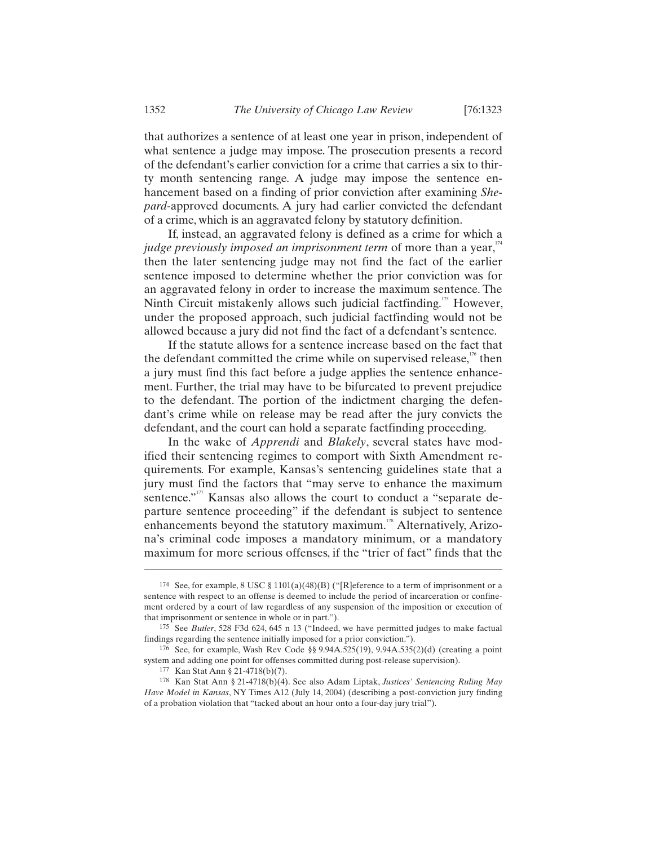that authorizes a sentence of at least one year in prison, independent of what sentence a judge may impose. The prosecution presents a record of the defendant's earlier conviction for a crime that carries a six to thirty month sentencing range. A judge may impose the sentence enhancement based on a finding of prior conviction after examining *Shepard*-approved documents. A jury had earlier convicted the defendant of a crime, which is an aggravated felony by statutory definition.

If, instead, an aggravated felony is defined as a crime for which a *judge previously imposed an imprisonment term* of more than a year,<sup>174</sup> then the later sentencing judge may not find the fact of the earlier sentence imposed to determine whether the prior conviction was for an aggravated felony in order to increase the maximum sentence. The Ninth Circuit mistakenly allows such judicial factfinding.<sup>175</sup> However, under the proposed approach, such judicial factfinding would not be allowed because a jury did not find the fact of a defendant's sentence.

If the statute allows for a sentence increase based on the fact that the defendant committed the crime while on supervised release,  $\frac{176}{6}$  then a jury must find this fact before a judge applies the sentence enhancement. Further, the trial may have to be bifurcated to prevent prejudice to the defendant. The portion of the indictment charging the defendant's crime while on release may be read after the jury convicts the defendant, and the court can hold a separate factfinding proceeding.

In the wake of *Apprendi* and *Blakely*, several states have modified their sentencing regimes to comport with Sixth Amendment requirements. For example, Kansas's sentencing guidelines state that a jury must find the factors that "may serve to enhance the maximum sentence."<sup>177</sup> Kansas also allows the court to conduct a "separate departure sentence proceeding" if the defendant is subject to sentence enhancements beyond the statutory maximum.<sup>178</sup> Alternatively, Arizona's criminal code imposes a mandatory minimum, or a mandatory maximum for more serious offenses, if the "trier of fact" finds that the

<sup>&</sup>lt;sup>174</sup> See, for example, 8 USC § 1101(a)(48)(B) ("[R]eference to a term of imprisonment or a sentence with respect to an offense is deemed to include the period of incarceration or confinement ordered by a court of law regardless of any suspension of the imposition or execution of that imprisonment or sentence in whole or in part.").

<sup>175</sup> See *Butler*, 528 F3d 624, 645 n 13 ("Indeed, we have permitted judges to make factual findings regarding the sentence initially imposed for a prior conviction.").

<sup>176</sup> See, for example, Wash Rev Code §§ 9.94A.525(19), 9.94A.535(2)(d) (creating a point system and adding one point for offenses committed during post-release supervision).

<sup>177</sup> Kan Stat Ann § 21-4718(b)(7).

<sup>178</sup> Kan Stat Ann § 21-4718(b)(4). See also Adam Liptak, *Justices' Sentencing Ruling May Have Model in Kansas*, NY Times A12 (July 14, 2004) (describing a post-conviction jury finding of a probation violation that "tacked about an hour onto a four-day jury trial").